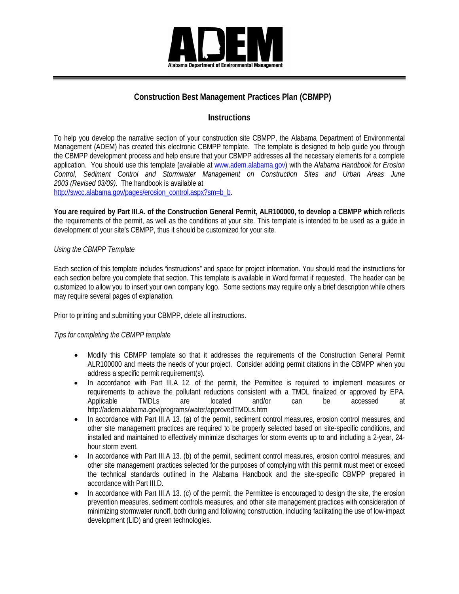

### **Construction Best Management Practices Plan (CBMPP)**

### **Instructions**

To help you develop the narrative section of your construction site CBMPP, the Alabama Department of Environmental Management (ADEM) has created this electronic CBMPP template. The template is designed to help guide you through the CBMPP development process and help ensure that your CBMPP addresses all the necessary elements for a complete application. You should use this template (available at www.adem.alabama.gov) with the *Alabama Handbook for Erosion Control, Sediment Control and Stormwater Management on Construction Sites and Urban Areas June 2003 (Revised 03/09)*. The handbook is available at

[http://swcc.alabama.gov/pages/erosion\\_control.aspx?sm=b\\_b.](http://swcc.alabama.gov/pages/erosion_control.aspx?sm=b_b)

**You are required by Part III.A. of the Construction General Permit, ALR100000, to develop a CBMPP which** reflects the requirements of the permit, as well as the conditions at your site. This template is intended to be used as a guide in development of your site's CBMPP, thus it should be customized for your site.

### *Using the CBMPP Template*

Each section of this template includes "instructions" and space for project information. You should read the instructions for each section before you complete that section. This template is available in Word format if requested. The header can be customized to allow you to insert your own company logo. Some sections may require only a brief description while others may require several pages of explanation.

Prior to printing and submitting your CBMPP, delete all instructions.

### *Tips for completing the CBMPP template*

- Modify this CBMPP template so that it addresses the requirements of the Construction General Permit ALR100000 and meets the needs of your project. Consider adding permit citations in the CBMPP when you address a specific permit requirement(s).
- In accordance with Part III.A 12. of the permit, the Permittee is required to implement measures or requirements to achieve the pollutant reductions consistent with a TMDL finalized or approved by EPA. Applicable TMDLs are located and/or can be accessed at <http://adem.alabama.gov/programs/water/approvedTMDLs.htm>
- In accordance with Part III.A 13. (a) of the permit, sediment control measures, erosion control measures, and other site management practices are required to be properly selected based on site-specific conditions, and installed and maintained to effectively minimize discharges for storm events up to and including a 2-year, 24 hour storm event.
- In accordance with Part III.A 13. (b) of the permit, sediment control measures, erosion control measures, and other site management practices selected for the purposes of complying with this permit must meet or exceed the technical standards outlined in the Alabama Handbook and the site-specific CBMPP prepared in accordance with Part III.D.
- In accordance with Part III.A 13. (c) of the permit, the Permittee is encouraged to design the site, the erosion prevention measures, sediment controls measures, and other site management practices with consideration of minimizing stormwater runoff, both during and following construction, including facilitating the use of low-impact development (LID) and green technologies.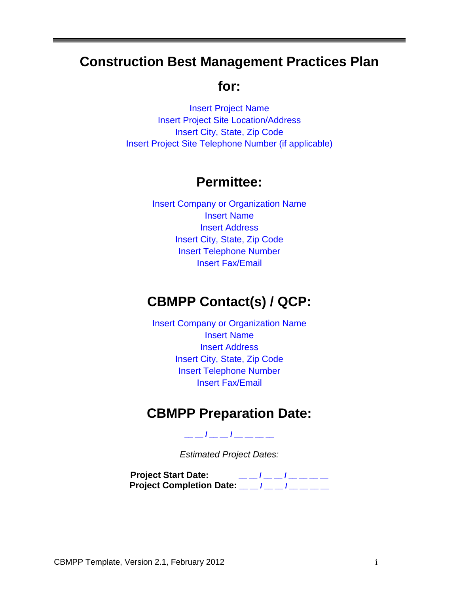# **Construction Best Management Practices Plan**

## **for:**

Insert Project Name Insert Project Site Location/Address Insert City, State, Zip Code Insert Project Site Telephone Number (if applicable)

# **Permittee:**

Insert Company or Organization Name Insert Name Insert Address Insert City, State, Zip Code Insert Telephone Number Insert Fax/Email

# **CBMPP Contact(s) / QCP:**

Insert Company or Organization Name Insert Name Insert Address Insert City, State, Zip Code Insert Telephone Number Insert Fax/Email

# **CBMPP Preparation Date:**

**\_\_ \_\_ / \_\_ \_\_ / \_\_ \_\_ \_\_ \_\_**

*Estimated Project Dates:*

**Project Start Date: \_\_ \_\_ / \_\_ \_\_ / \_\_ \_\_ \_\_ \_\_ Project Completion Date: \_\_ \_\_ / \_\_ \_\_ / \_\_ \_\_ \_\_ \_\_**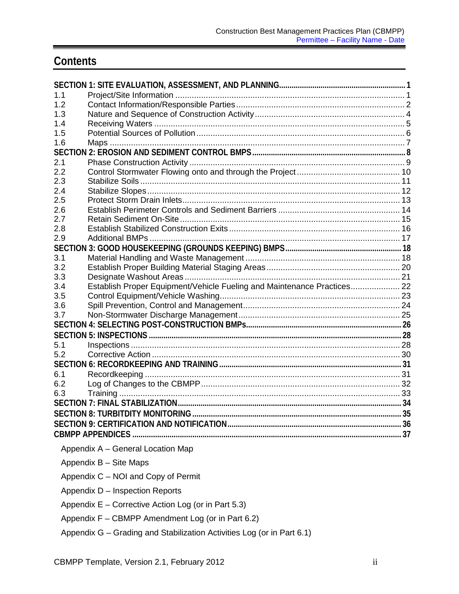# **Contents**

| 1.1 |                                                                         |  |
|-----|-------------------------------------------------------------------------|--|
| 1.2 |                                                                         |  |
| 1.3 |                                                                         |  |
| 1.4 |                                                                         |  |
| 1.5 |                                                                         |  |
| 1.6 |                                                                         |  |
|     |                                                                         |  |
| 2.1 |                                                                         |  |
| 2.2 |                                                                         |  |
| 2.3 |                                                                         |  |
| 2.4 |                                                                         |  |
| 2.5 |                                                                         |  |
| 2.6 |                                                                         |  |
| 2.7 |                                                                         |  |
| 2.8 |                                                                         |  |
| 2.9 |                                                                         |  |
|     |                                                                         |  |
| 3.1 |                                                                         |  |
| 3.2 |                                                                         |  |
| 3.3 |                                                                         |  |
| 3.4 | Establish Proper Equipment/Vehicle Fueling and Maintenance Practices 22 |  |
| 3.5 |                                                                         |  |
| 3.6 |                                                                         |  |
| 3.7 |                                                                         |  |
|     |                                                                         |  |
|     |                                                                         |  |
| 5.1 |                                                                         |  |
| 5.2 |                                                                         |  |
|     |                                                                         |  |
| 6.1 |                                                                         |  |
| 6.2 |                                                                         |  |
| 6.3 |                                                                         |  |
|     |                                                                         |  |
|     | <b>SECTION 8: TURBITDITY MONITORING</b>                                 |  |
|     |                                                                         |  |
|     |                                                                         |  |
|     | Appendix A - General Location Map                                       |  |
|     | Appendix B - Site Maps                                                  |  |
|     | Appendix C - NOI and Copy of Permit                                     |  |
|     | Appendix D - Inspection Reports                                         |  |
|     | Appendix E – Corrective Action Log (or in Part 5.3)                     |  |
|     | Appendix F - CBMPP Amendment Log (or in Part 6.2)                       |  |
|     | Appendix G - Grading and Stabilization Activities Log (or in Part 6.1)  |  |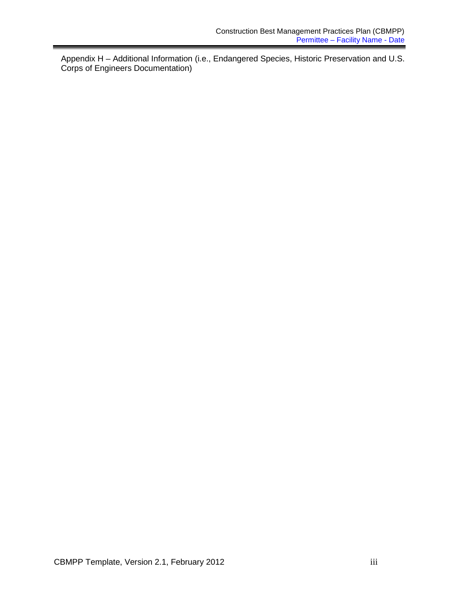Appendix H – Additional Information (i.e., Endangered Species, Historic Preservation and U.S. Corps of Engineers Documentation)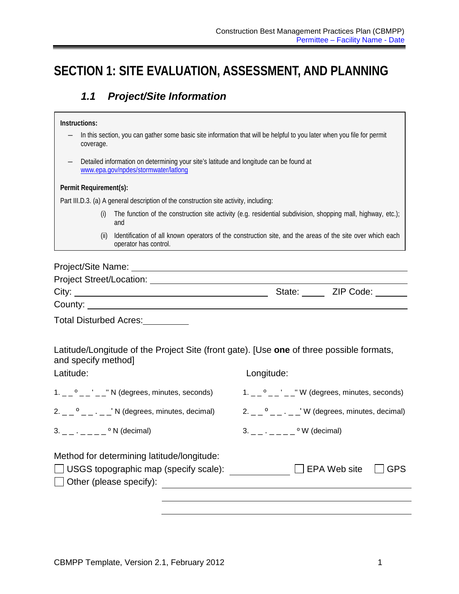# <span id="page-4-1"></span><span id="page-4-0"></span>**SECTION 1: SITE EVALUATION, ASSESSMENT, AND PLANNING**

### *1.1 Project/Site Information*

#### **Instructions:**

- ― In this section, you can gather some basic site information that will be helpful to you later when you file for permit coverage.
- ― Detailed information on determining your site's latitude and longitude can be found at [www.epa.gov/npdes/stormwater/latlong](http://www.epa.gov/npdes/stormwater/latlong)

### **Permit Requirement(s):**

Part III.D.3. (a) A general description of the construction site activity, including:

- (i) The function of the construction site activity (e.g. residential subdivision, shopping mall, highway, etc.); and
- (ii) Identification of all known operators of the construction site, and the areas of the site over which each operator has control.

### Project/Site Name:

| Project Street/Location: |        |           |
|--------------------------|--------|-----------|
| City:                    | State: | ZIP Code: |
| County:                  |        |           |
|                          |        |           |

Total Disturbed Acres:

Latitude/Longitude of the Project Site (front gate). [Use **one** of three possible formats, and specify method]

| Latitude:                                                                                                                    | Longitude:                                      |
|------------------------------------------------------------------------------------------------------------------------------|-------------------------------------------------|
| $1. -2$ ° $     \degree$ N (degrees, minutes, seconds)                                                                       |                                                 |
|                                                                                                                              | $2. -2$ $     \vee$ (degrees, minutes, decimal) |
| $3. \quad \_ \quad \_ \quad \_ \quad \circ N \text{ (decimal)}$                                                              | $3. \_\_\_ \.\_ \_\_ \_\_ \$ ° W (decimal)      |
| Method for determining latitude/longitude:<br>$\Box$ USGS topographic map (specify scale):<br>$\Box$ Other (please specify): | EPA Web site<br><b>GPS</b>                      |
|                                                                                                                              |                                                 |
|                                                                                                                              |                                                 |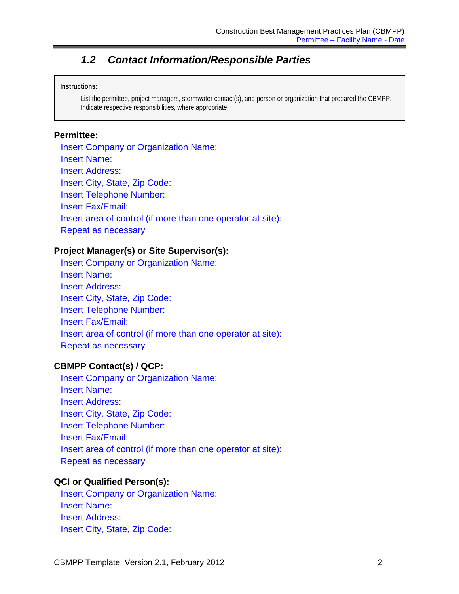### *1.2 Contact Information/Responsible Parties*

### <span id="page-5-0"></span>**Instructions:**

― List the permittee, project managers, stormwater contact(s), and person or organization that prepared the CBMPP. Indicate respective responsibilities, where appropriate.

### **Permittee:**

Insert Company or Organization Name: Insert Name: Insert Address: Insert City, State, Zip Code: Insert Telephone Number: Insert Fax/Email: Insert area of control (if more than one operator at site): Repeat as necessary

### **Project Manager(s) or Site Supervisor(s):**

Insert Company or Organization Name: Insert Name: Insert Address: Insert City, State, Zip Code: Insert Telephone Number: Insert Fax/Email: Insert area of control (if more than one operator at site): Repeat as necessary

### **CBMPP Contact(s) / QCP:**

Insert Company or Organization Name: Insert Name: Insert Address: Insert City, State, Zip Code: Insert Telephone Number: Insert Fax/Email: Insert area of control (if more than one operator at site): Repeat as necessary

### **QCI or Qualified Person(s):**

Insert Company or Organization Name: Insert Name: Insert Address: Insert City, State, Zip Code: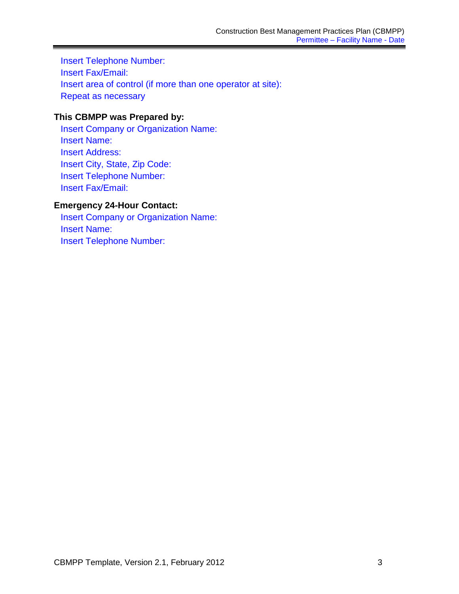Insert Telephone Number: Insert Fax/Email: Insert area of control (if more than one operator at site): Repeat as necessary

### **This CBMPP was Prepared by:**

Insert Company or Organization Name: Insert Name: Insert Address: Insert City, State, Zip Code: Insert Telephone Number: Insert Fax/Email:

### **Emergency 24-Hour Contact:**

Insert Company or Organization Name: Insert Name: Insert Telephone Number: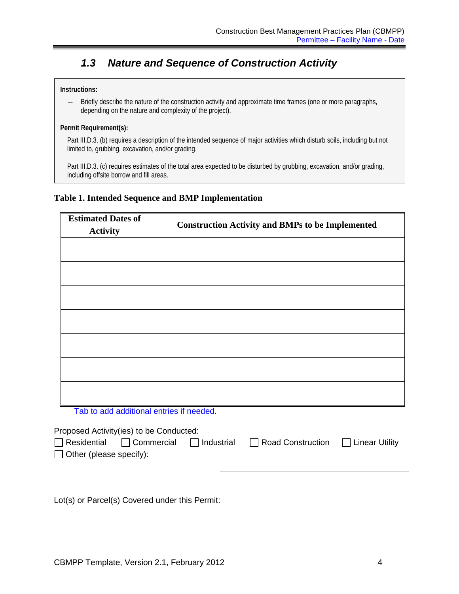## <span id="page-7-0"></span>*1.3 Nature and Sequence of Construction Activity*

### **Instructions:**

― Briefly describe the nature of the construction activity and approximate time frames (one or more paragraphs, depending on the nature and complexity of the project).

### **Permit Requirement(s):**

Part III.D.3. (b) requires a description of the intended sequence of major activities which disturb soils, including but not limited to, grubbing, excavation, and/or grading.

Part III.D.3. (c) requires estimates of the total area expected to be disturbed by grubbing, excavation, and/or grading, including offsite borrow and fill areas.

### **Table 1. Intended Sequence and BMP Implementation**

| <b>Estimated Dates of</b><br><b>Activity</b> | <b>Construction Activity and BMPs to be Implemented</b> |
|----------------------------------------------|---------------------------------------------------------|
|                                              |                                                         |
|                                              |                                                         |
|                                              |                                                         |
|                                              |                                                         |
|                                              |                                                         |
|                                              |                                                         |
|                                              |                                                         |

Tab to add additional entries if needed.

Proposed Activity(ies) to be Conducted:

| $\Box$ Residential $\Box$ Commercial | $\Box$ Industrial | $\Box$ Road Construction $\Box$ Linear Utility |  |
|--------------------------------------|-------------------|------------------------------------------------|--|
| $\Box$ Other (please specify):       |                   |                                                |  |

Lot(s) or Parcel(s) Covered under this Permit: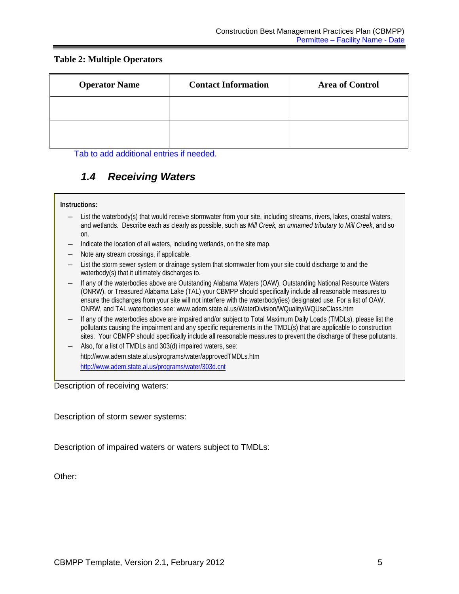### **Table 2: Multiple Operators**

| <b>Operator Name</b> | <b>Contact Information</b> | <b>Area of Control</b> |
|----------------------|----------------------------|------------------------|
|                      |                            |                        |
|                      |                            |                        |

<span id="page-8-0"></span>Tab to add additional entries if needed.

## *1.4 Receiving Waters*

### **Instructions:**

- ― List the waterbody(s) that would receive stormwater from your site, including streams, rivers, lakes, coastal waters, and wetlands. Describe each as clearly as possible, such as *Mill Creek, an unnamed tributary to Mill Creek*, and so on.
- ― Indicate the location of all waters, including wetlands, on the site map.
- ― Note any stream crossings, if applicable.
- ― List the storm sewer system or drainage system that stormwater from your site could discharge to and the waterbody(s) that it ultimately discharges to.
- ― If any of the waterbodies above are Outstanding Alabama Waters (OAW), Outstanding National Resource Waters (ONRW), or Treasured Alabama Lake (TAL) your CBMPP should specifically include all reasonable measures to ensure the discharges from your site will not interfere with the waterbody(ies) designated use. For a list of OAW, ONRW, and TAL waterbodies see: www.adem.state.al.us/WaterDivision/WQuality/WQUseClass.htm
- ― If any of the waterbodies above are impaired and/or subject to Total Maximum Daily Loads (TMDLs), please list the pollutants causing the impairment and any specific requirements in the TMDL(s) that are applicable to construction sites. Your CBMPP should specifically include all reasonable measures to prevent the discharge of these pollutants.
- Also, for a list of TMDLs and 303(d) impaired waters, see: http://www.adem.state.al.us/programs/water/approvedTMDLs.htm http://www.adem.state.al.us/programs/water/303d.cnt

Description of receiving waters:

Description of storm sewer systems:

Description of impaired waters or waters subject to TMDLs:

Other: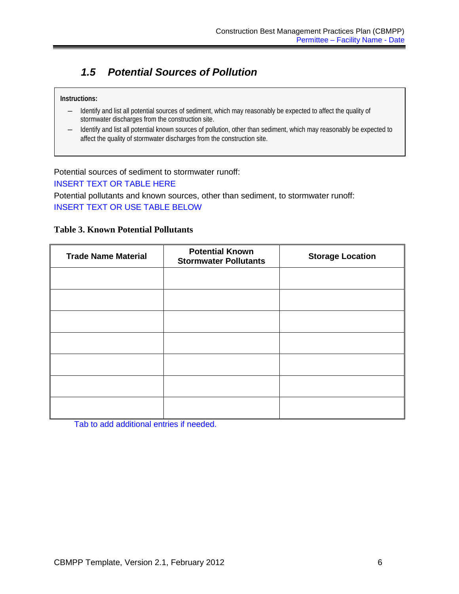## <span id="page-9-0"></span>*1.5 Potential Sources of Pollution*

### **Instructions:**

- ― Identify and list all potential sources of sediment, which may reasonably be expected to affect the quality of stormwater discharges from the construction site.
- ― Identify and list all potential known sources of pollution, other than sediment, which may reasonably be expected to affect the quality of stormwater discharges from the construction site.

### Potential sources of sediment to stormwater runoff:

INSERT TEXT OR TABLE HERE

Potential pollutants and known sources, other than sediment, to stormwater runoff: INSERT TEXT OR USE TABLE BELOW

### **Table 3. Known Potential Pollutants**

| <b>Trade Name Material</b> | <b>Potential Known</b><br><b>Stormwater Pollutants</b> | <b>Storage Location</b> |
|----------------------------|--------------------------------------------------------|-------------------------|
|                            |                                                        |                         |
|                            |                                                        |                         |
|                            |                                                        |                         |
|                            |                                                        |                         |
|                            |                                                        |                         |
|                            |                                                        |                         |
|                            |                                                        |                         |

Tab to add additional entries if needed.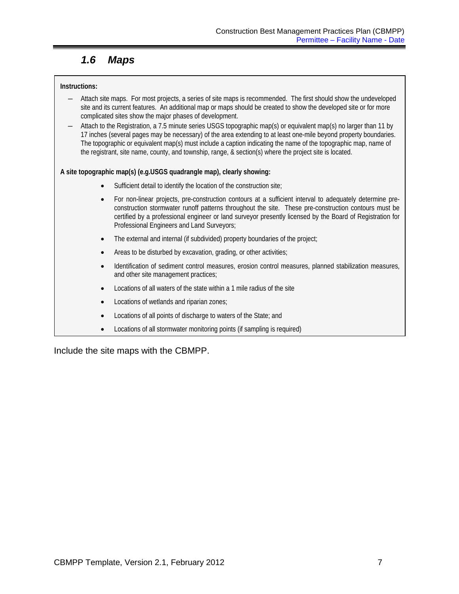## *1.6 Maps*

### <span id="page-10-0"></span>**Instructions:**

- ― Attach site maps. For most projects, a series of site maps is recommended. The first should show the undeveloped site and its current features. An additional map or maps should be created to show the developed site or for more complicated sites show the major phases of development.
- ― Attach to the Registration, a 7.5 minute series USGS topographic map(s) or equivalent map(s) no larger than 11 by 17 inches (several pages may be necessary) of the area extending to at least one-mile beyond property boundaries. The topographic or equivalent map(s) must include a caption indicating the name of the topographic map, name of the registrant, site name, county, and township, range, & section(s) where the project site is located.

### **A site topographic map(s) (e.g.USGS quadrangle map), clearly showing:**

- Sufficient detail to identify the location of the construction site;
- For non-linear projects, pre-construction contours at a sufficient interval to adequately determine preconstruction stormwater runoff patterns throughout the site. These pre-construction contours must be certified by a professional engineer or land surveyor presently licensed by the Board of Registration for Professional Engineers and Land Surveyors;
- The external and internal (if subdivided) property boundaries of the project;
- Areas to be disturbed by excavation, grading, or other activities;
- Identification of sediment control measures, erosion control measures, planned stabilization measures, and other site management practices;
- Locations of all waters of the state within a 1 mile radius of the site
- Locations of wetlands and riparian zones;
- Locations of all points of discharge to waters of the State; and
- Locations of all stormwater monitoring points (if sampling is required)

Include the site maps with the CBMPP.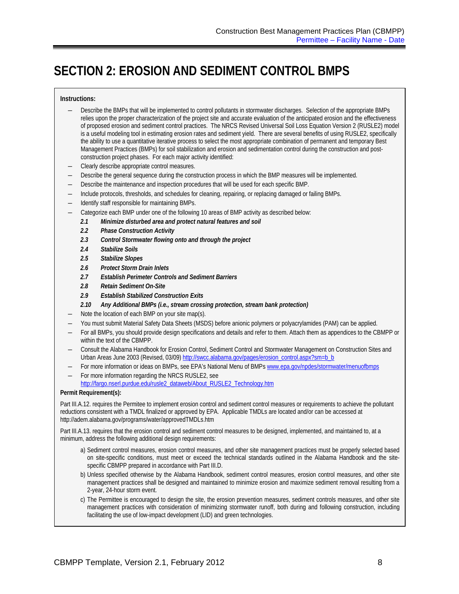# <span id="page-11-0"></span>**SECTION 2: EROSION AND SEDIMENT CONTROL BMPS**

#### **Instructions:**

- ― Describe the BMPs that will be implemented to control pollutants in stormwater discharges. Selection of the appropriate BMPs relies upon the proper characterization of the project site and accurate evaluation of the anticipated erosion and the effectiveness of proposed erosion and sediment control practices. The NRCS Revised Universal Soil Loss Equation Version 2 (RUSLE2) model is a useful modeling tool in estimating erosion rates and sediment yield. There are several benefits of using RUSLE2, specifically the ability to use a quantitative iterative process to select the most appropriate combination of permanent and temporary Best Management Practices (BMPs) for soil stabilization and erosion and sedimentation control during the construction and postconstruction project phases. For each major activity identified:
- ― Clearly describe appropriate control measures.
- ― Describe the general sequence during the construction process in which the BMP measures will be implemented.
- ― Describe the maintenance and inspection procedures that will be used for each specific BMP.
- ― Include protocols, thresholds, and schedules for cleaning, repairing, or replacing damaged or failing BMPs.
- Identify staff responsible for maintaining BMPs.
- Categorize each BMP under one of the following 10 areas of BMP activity as described below:
	- *2.1 Minimize disturbed area and protect natural features and soil*
	- *2.2 Phase Construction Activity*
	- *2.3 Control Stormwater flowing onto and through the project*
	- *2.4 Stabilize Soils*
	- *2.5 Stabilize Slopes*
	- *2.6 Protect Storm Drain Inlets*
	- *2.7 Establish Perimeter Controls and Sediment Barriers*
	- *2.8 Retain Sediment On-Site*
	- *2.9 Establish Stabilized Construction Exits*
	- *2.10 Any Additional BMPs (i.e., stream crossing protection, stream bank protection)*
- Note the location of each BMP on your site map(s).
- You must submit Material Safety Data Sheets (MSDS) before anionic polymers or polyacrylamides (PAM) can be applied.
- ― For all BMPs, you should provide design specifications and details and refer to them. Attach them as appendices to the CBMPP or within the text of the CBMPP.
- ― Consult the Alabama Handbook for Erosion Control, Sediment Control and Stormwater Management on Construction Sites and Urban Areas June 2003 (Revised, 03/09) [http://swcc.alabama.gov/pages/erosion\\_control.aspx?sm=b\\_b](http://swcc.alabama.gov/pages/erosion_control.aspx?sm=b_b)
- For more information or ideas on BMPs, see EPA's National Menu of BMP[s www.epa.gov/npdes/stormwater/menuofbmps](http://www.epa.gov/npdes/stormwater/menuofbmps)
- For more information regarding the NRCS RUSLE2, see
- [http://fargo.nserl.purdue.edu/rusle2\\_dataweb/About\\_RUSLE2\\_Technology.htm](http://fargo.nserl.purdue.edu/rusle2_dataweb/About_RUSLE2_Technology.htm)

#### **Permit Requirement(s):**

Part III.A.12. requires the Permitee to implement erosion control and sediment control measures or requirements to achieve the pollutant reductions consistent with a TMDL finalized or approved by EPA. Applicable TMDLs are located and/or can be accessed at http://adem.alabama.gov/programs/water/approvedTMDLs.htm

Part III.A.13. requires that the erosion control and sediment control measures to be designed, implemented, and maintained to, at a minimum, address the following additional design requirements:

- a) Sediment control measures, erosion control measures, and other site management practices must be properly selected based on site-specific conditions, must meet or exceed the technical standards outlined in the Alabama Handbook and the sitespecific CBMPP prepared in accordance with Part III.D.
- b) Unless specified otherwise by the Alabama Handbook, sediment control measures, erosion control measures, and other site management practices shall be designed and maintained to minimize erosion and maximize sediment removal resulting from a 2-year, 24-hour storm event.
- c) The Permittee is encouraged to design the site, the erosion prevention measures, sediment controls measures, and other site management practices with consideration of minimizing stormwater runoff, both during and following construction, including facilitating the use of low-impact development (LID) and green technologies.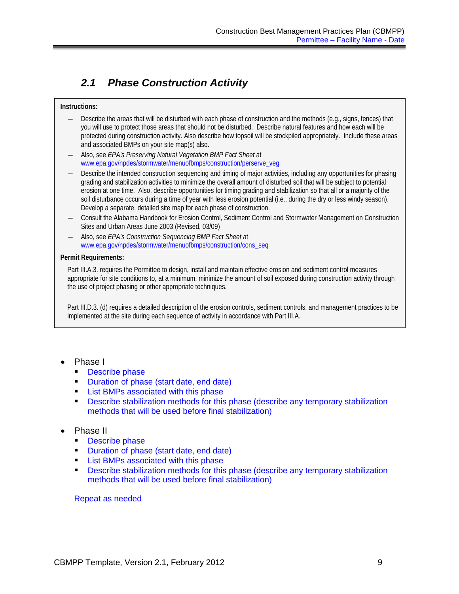## <span id="page-12-0"></span>*2.1 Phase Construction Activity*

### **Instructions:**

- Describe the areas that will be disturbed with each phase of construction and the methods (e.g., signs, fences) that you will use to protect those areas that should not be disturbed. Describe natural features and how each will be protected during construction activity. Also describe how topsoil will be stockpiled appropriately. Include these areas and associated BMPs on your site map(s) also.
- ― Also, see *EPA's Preserving Natural Vegetation BMP Fact Sheet* at [www.epa.gov/npdes/stormwater/menuofbmps/construction/perserve\\_veg](http://www.epa.gov/npdes/stormwater/menuofbmps/construction/perserve_veg)
- Describe the intended construction sequencing and timing of major activities, including any opportunities for phasing grading and stabilization activities to minimize the overall amount of disturbed soil that will be subject to potential erosion at one time. Also, describe opportunities for timing grading and stabilization so that all or a majority of the soil disturbance occurs during a time of year with less erosion potential (i.e., during the dry or less windy season). Develop a separate, detailed site map for each phase of construction.
- ― Consult the Alabama Handbook for Erosion Control, Sediment Control and Stormwater Management on Construction Sites and Urban Areas June 2003 (Revised, 03/09)
- ― Also, see *EPA's Construction Sequencing BMP Fact Sheet* at [www.epa.gov/npdes/stormwater/menuofbmps/construction/cons\\_seq](http://www.epa.gov/npdes/stormwater/menuofbmps/construction/cons_seq)

### **Permit Requirements:**

Part III.A.3. requires the Permittee to design, install and maintain effective erosion and sediment control measures appropriate for site conditions to, at a minimum, minimize the amount of soil exposed during construction activity through the use of project phasing or other appropriate techniques.

Part III.D.3. (d) requires a detailed description of the erosion controls, sediment controls, and management practices to be implemented at the site during each sequence of activity in accordance with Part III.A.

- Phase I
	- **Describe phase**
	- **Duration of phase (start date, end date)**
	- **List BMPs associated with this phase**
	- **Describe stabilization methods for this phase (describe any temporary stabilization** methods that will be used before final stabilization)

### • Phase II

- Describe phase
- Duration of phase (start date, end date)
- List BMPs associated with this phase
- **Describe stabilization methods for this phase (describe any temporary stabilization** methods that will be used before final stabilization)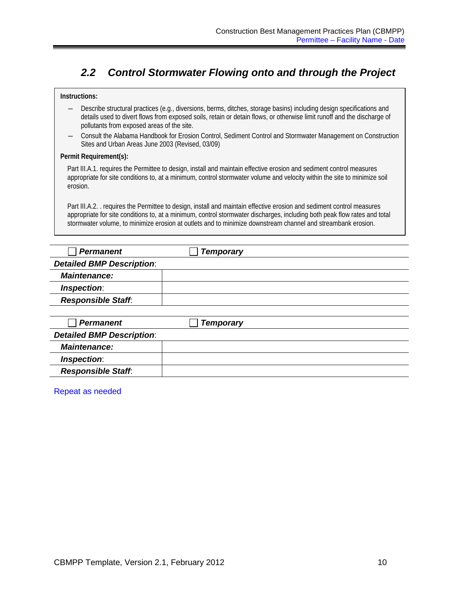### <span id="page-13-0"></span>*2.2 Control Stormwater Flowing onto and through the Project*

#### **Instructions:**

- ― Describe structural practices (e.g., diversions, berms, ditches, storage basins) including design specifications and details used to divert flows from exposed soils, retain or detain flows, or otherwise limit runoff and the discharge of pollutants from exposed areas of the site.
- ― Consult the Alabama Handbook for Erosion Control, Sediment Control and Stormwater Management on Construction Sites and Urban Areas June 2003 (Revised, 03/09)

#### **Permit Requirement(s):**

Part III.A.1. requires the Permittee to design, install and maintain effective erosion and sediment control measures appropriate for site conditions to, at a minimum, control stormwater volume and velocity within the site to minimize soil erosion.

Part III.A.2. . requires the Permittee to design, install and maintain effective erosion and sediment control measures appropriate for site conditions to, at a minimum, control stormwater discharges, including both peak flow rates and total stormwater volume, to minimize erosion at outlets and to minimize downstream channel and streambank erosion.

| <b>Permanent</b>                 | <b>Temporary</b> |  |
|----------------------------------|------------------|--|
| <b>Detailed BMP Description:</b> |                  |  |
| <b>Maintenance:</b>              |                  |  |
| Inspection:                      |                  |  |
| <b>Responsible Staff:</b>        |                  |  |
|                                  |                  |  |
| <b>Permanent</b>                 | <b>Temporary</b> |  |
| <b>Detailed BMP Description:</b> |                  |  |
| <b>Maintenance:</b>              |                  |  |
| Inspection:                      |                  |  |
| <b>Responsible Staff.</b>        |                  |  |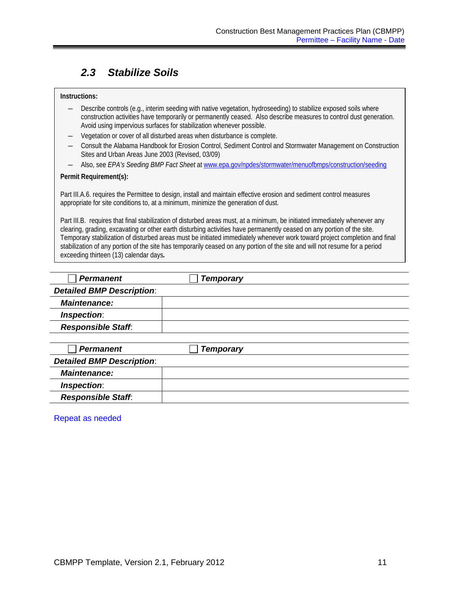### <span id="page-14-0"></span>*2.3 Stabilize Soils*

#### **Instructions:**

- ― Describe controls (e.g., interim seeding with native vegetation, hydroseeding) to stabilize exposed soils where construction activities have temporarily or permanently ceased. Also describe measures to control dust generation. Avoid using impervious surfaces for stabilization whenever possible.
- ― Vegetation or cover of all disturbed areas when disturbance is complete.
- ― Consult the Alabama Handbook for Erosion Control, Sediment Control and Stormwater Management on Construction Sites and Urban Areas June 2003 (Revised, 03/09)
- ― Also, see *EPA's Seeding BMP Fact Sheet* at [www.epa.gov/npdes/stormwater/menuofbmps/construction/seeding](http://www.epa.gov/npdes/stormwater/menuofbmps/construction/seeding)

### **Permit Requirement(s):**

Part III.A.6. requires the Permittee to design, install and maintain effective erosion and sediment control measures appropriate for site conditions to, at a minimum, minimize the generation of dust.

Part III.B. requires that final stabilization of disturbed areas must, at a minimum, be initiated immediately whenever any clearing, grading, excavating or other earth disturbing activities have permanently ceased on any portion of the site. Temporary stabilization of disturbed areas must be initiated immediately whenever work toward project completion and final stabilization of any portion of the site has temporarily ceased on any portion of the site and will not resume for a period exceeding thirteen (13) calendar days*.* 

| <b>Permanent</b>                 | <b>Temporary</b> |  |
|----------------------------------|------------------|--|
| <b>Detailed BMP Description:</b> |                  |  |
| <b>Maintenance:</b>              |                  |  |
| Inspection:                      |                  |  |
| <b>Responsible Staff:</b>        |                  |  |
|                                  |                  |  |
| <b>Permanent</b>                 | <b>Temporary</b> |  |
| <b>Detailed BMP Description:</b> |                  |  |
| <b>Maintenance:</b>              |                  |  |
| Inspection:                      |                  |  |
| <b>Responsible Staff.</b>        |                  |  |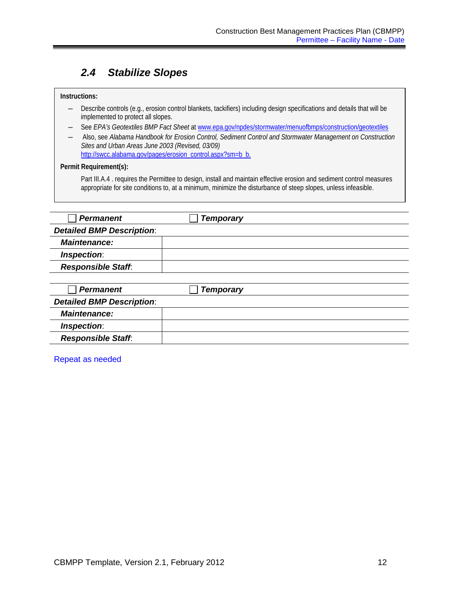### <span id="page-15-0"></span>*2.4 Stabilize Slopes*

### **Instructions:**

- ― Describe controls (e.g., erosion control blankets, tackifiers) including design specifications and details that will be implemented to protect all slopes.
- ― See *EPA's Geotextiles BMP Fact Sheet* at [www.epa.gov/npdes/stormwater/menuofbmps/construction/geotextiles](http://www.epa.gov/npdes/stormwater/menuofbmps/construction/geotextiles)
- ― Also, see *Alabama Handbook for Erosion Control, Sediment Control and Stormwater Management on Construction Sites and Urban Areas June 2003 (Revised, 03/09)* [http://swcc.alabama.gov/pages/erosion\\_control.aspx?sm=b\\_b.](http://swcc.alabama.gov/pages/erosion_control.aspx?sm=b_b)

### **Permit Requirement(s):**

Part III.A.4. requires the Permittee to design, install and maintain effective erosion and sediment control measures appropriate for site conditions to, at a minimum, minimize the disturbance of steep slopes, unless infeasible.

| <b>Permanent</b>                 | <b>Temporary</b> |  |
|----------------------------------|------------------|--|
| <b>Detailed BMP Description:</b> |                  |  |
| <b>Maintenance:</b>              |                  |  |
| Inspection:                      |                  |  |
| <b>Responsible Staff:</b>        |                  |  |
|                                  |                  |  |
| <b>Permanent</b>                 | <b>Temporary</b> |  |
| <b>Detailed BMP Description:</b> |                  |  |
| <b>Maintenance:</b>              |                  |  |
| Inspection:                      |                  |  |
| <b>Responsible Staff:</b>        |                  |  |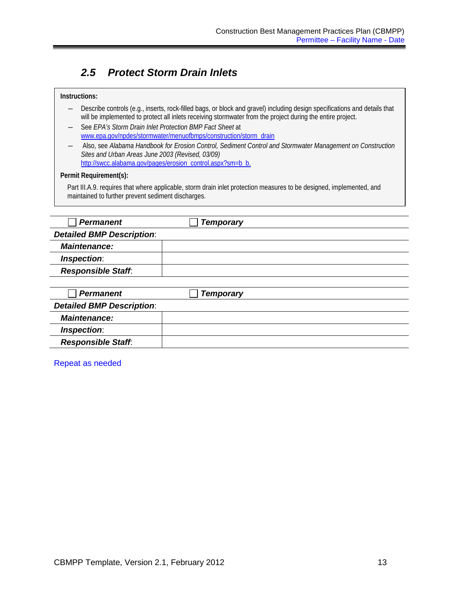## <span id="page-16-0"></span>*2.5 Protect Storm Drain Inlets*

| Instructions:                                                                                                                                                                                                                           |                                                                                                            |  |  |
|-----------------------------------------------------------------------------------------------------------------------------------------------------------------------------------------------------------------------------------------|------------------------------------------------------------------------------------------------------------|--|--|
| Describe controls (e.g., inserts, rock-filled bags, or block and gravel) including design specifications and details that<br>will be implemented to protect all inlets receiving stormwater from the project during the entire project. |                                                                                                            |  |  |
|                                                                                                                                                                                                                                         | See EPA's Storm Drain Inlet Protection BMP Fact Sheet at                                                   |  |  |
|                                                                                                                                                                                                                                         | www.epa.gov/npdes/stormwater/menuofbmps/construction/storm_drain                                           |  |  |
| Sites and Urban Areas June 2003 (Revised, 03/09)                                                                                                                                                                                        | Also, see Alabama Handbook for Erosion Control, Sediment Control and Stormwater Management on Construction |  |  |
|                                                                                                                                                                                                                                         | http://swcc.alabama.gov/pages/erosion_control.aspx?sm=b_b.                                                 |  |  |
| Permit Requirement(s):                                                                                                                                                                                                                  |                                                                                                            |  |  |
| Part III.A.9. requires that where applicable, storm drain inlet protection measures to be designed, implemented, and<br>maintained to further prevent sediment discharges.                                                              |                                                                                                            |  |  |
|                                                                                                                                                                                                                                         |                                                                                                            |  |  |
|                                                                                                                                                                                                                                         |                                                                                                            |  |  |
| <b>Permanent</b>                                                                                                                                                                                                                        | <b>Temporary</b>                                                                                           |  |  |
| <b>Detailed BMP Description:</b>                                                                                                                                                                                                        |                                                                                                            |  |  |
| <b>Maintenance:</b>                                                                                                                                                                                                                     |                                                                                                            |  |  |
| Inspection:                                                                                                                                                                                                                             |                                                                                                            |  |  |
| <b>Responsible Staff.</b>                                                                                                                                                                                                               |                                                                                                            |  |  |
|                                                                                                                                                                                                                                         |                                                                                                            |  |  |
| <b>Permanent</b>                                                                                                                                                                                                                        | <b>Temporary</b>                                                                                           |  |  |

| <b>Detailed BMP Description:</b> |  |
|----------------------------------|--|
| <b>Maintenance:</b>              |  |
| <i><b>Inspection:</b></i>        |  |
| <b>Responsible Staff.</b>        |  |

Repeat as needed

Г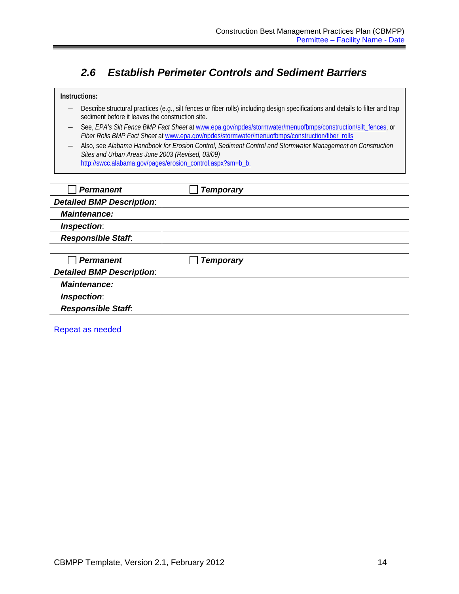### <span id="page-17-0"></span>*2.6 Establish Perimeter Controls and Sediment Barriers*

- ― Describe structural practices (e.g., silt fences or fiber rolls) including design specifications and details to filter and trap sediment before it leaves the construction site.
- ― See, *EPA's Silt Fence BMP Fact Sheet* a[t www.epa.gov/npdes/stormwater/menuofbmps/construction/silt\\_fences,](http://www.epa.gov/npdes/pubs/www.epa.gov/npdes/stormwater/menuofbmps/construction/silt_fences) or *Fiber Rolls BMP Fact Sheet* a[t www.epa.gov/npdes/stormwater/menuofbmps/construction/fiber\\_rolls](http://www.epa.gov/npdes/stormwater/menuofbmps/construction/fiber_rolls)
- ― Also, see *Alabama Handbook for Erosion Control, Sediment Control and Stormwater Management on Construction Sites and Urban Areas June 2003 (Revised, 03/09)* [http://swcc.alabama.gov/pages/erosion\\_control.aspx?sm=b\\_b.](http://swcc.alabama.gov/pages/erosion_control.aspx?sm=b_b)

| <b>Permanent</b>                 | <b>Temporary</b> |  |
|----------------------------------|------------------|--|
| <b>Detailed BMP Description:</b> |                  |  |
| <b>Maintenance:</b>              |                  |  |
| Inspection:                      |                  |  |
| <b>Responsible Staff:</b>        |                  |  |
|                                  |                  |  |
| <b>Permanent</b>                 | <b>Temporary</b> |  |
| <b>Detailed BMP Description:</b> |                  |  |
| <b>Maintenance:</b>              |                  |  |
| Inspection:                      |                  |  |
| <b>Responsible Staff.</b>        |                  |  |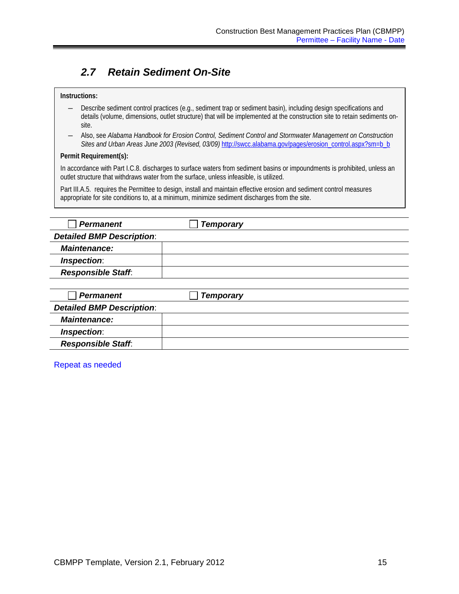### <span id="page-18-0"></span>*2.7 Retain Sediment On-Site*

#### **Instructions:**

- ― Describe sediment control practices (e.g., sediment trap or sediment basin), including design specifications and details (volume, dimensions, outlet structure) that will be implemented at the construction site to retain sediments onsite.
- ― Also, see *Alabama Handbook for Erosion Control, Sediment Control and Stormwater Management on Construction Sites and Urban Areas June 2003 (Revised, 03/09)* [http://swcc.alabama.gov/pages/erosion\\_control.aspx?sm=b\\_b](http://swcc.alabama.gov/pages/erosion_control.aspx?sm=b_b)

#### **Permit Requirement(s):**

In accordance with Part I.C.8. discharges to surface waters from sediment basins or impoundments is prohibited, unless an outlet structure that withdraws water from the surface, unless infeasible, is utilized.

Part III.A.5. requires the Permittee to design, install and maintain effective erosion and sediment control measures appropriate for site conditions to, at a minimum, minimize sediment discharges from the site.

| <b>Permanent</b>                 | <b>Temporary</b> |  |
|----------------------------------|------------------|--|
| <b>Detailed BMP Description:</b> |                  |  |
| <b>Maintenance:</b>              |                  |  |
| Inspection:                      |                  |  |
| <b>Responsible Staff:</b>        |                  |  |
|                                  |                  |  |
| <b>Permanent</b>                 | <b>Temporary</b> |  |
| <b>Detailed BMP Description:</b> |                  |  |
| Maintenance:                     |                  |  |

| Inspection:               |  |
|---------------------------|--|
| <b>Responsible Staff:</b> |  |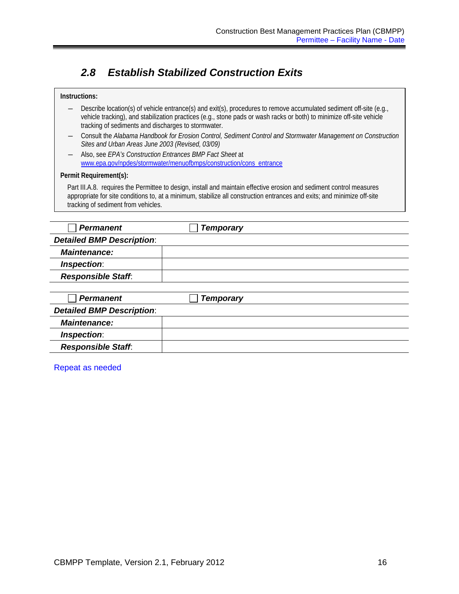### <span id="page-19-0"></span>*2.8 Establish Stabilized Construction Exits*

### *Permanent Temporary Detailed BMP Description*: *Maintenance: Inspection*: *Responsible Staff*: *Permanent Temporary Detailed BMP Description*: *Maintenance: Inspection*: *Responsible Staff*: **Instructions:** ― Describe location(s) of vehicle entrance(s) and exit(s), procedures to remove accumulated sediment off-site (e.g., vehicle tracking), and stabilization practices (e.g., stone pads or wash racks or both) to minimize off-site vehicle tracking of sediments and discharges to stormwater. ― Consult the *Alabama Handbook for Erosion Control, Sediment Control and Stormwater Management on Construction Sites and Urban Areas June 2003 (Revised, 03/09)* ― Also, see *EPA's Construction Entrances BMP Fact Sheet* at [www.epa.gov/npdes/stormwater/menuofbmps/construction/cons\\_entrance](http://www.epa.gov/npdes/stormwater/menuofbmps/construction/cons_entrance) **Permit Requirement(s):** Part III.A.8. requires the Permittee to design, install and maintain effective erosion and sediment control measures appropriate for site conditions to, at a minimum, stabilize all construction entrances and exits; and minimize off-site tracking of sediment from vehicles.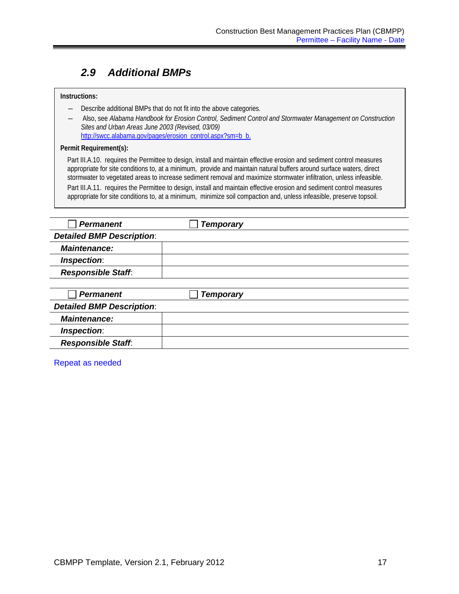### <span id="page-20-0"></span>*2.9 Additional BMPs*

#### **Instructions:**

- ― Describe additional BMPs that do not fit into the above categories.
- ― Also, see *Alabama Handbook for Erosion Control, Sediment Control and Stormwater Management on Construction Sites and Urban Areas June 2003 (Revised, 03/09)* [http://swcc.alabama.gov/pages/erosion\\_control.aspx?sm=b\\_b.](http://swcc.alabama.gov/pages/erosion_control.aspx?sm=b_b)

#### **Permit Requirement(s):**

Part III.A.10. requires the Permittee to design, install and maintain effective erosion and sediment control measures appropriate for site conditions to, at a minimum, provide and maintain natural buffers around surface waters, direct stormwater to vegetated areas to increase sediment removal and maximize stormwater infiltration, unless infeasible. Part III.A.11. requires the Permittee to design, install and maintain effective erosion and sediment control measures appropriate for site conditions to, at a minimum, minimize soil compaction and, unless infeasible, preserve topsoil.

| <b>Permanent</b>                 | <b>Temporary</b> |  |
|----------------------------------|------------------|--|
| <b>Detailed BMP Description:</b> |                  |  |
| <b>Maintenance:</b>              |                  |  |
| Inspection:                      |                  |  |
| <b>Responsible Staff.</b>        |                  |  |
|                                  |                  |  |
| <b>Permanent</b>                 | <b>Temporary</b> |  |
| <b>Detailed BMP Description:</b> |                  |  |
| <b>Maintenance:</b>              |                  |  |
| Inspection:                      |                  |  |
| <b>Responsible Staff.</b>        |                  |  |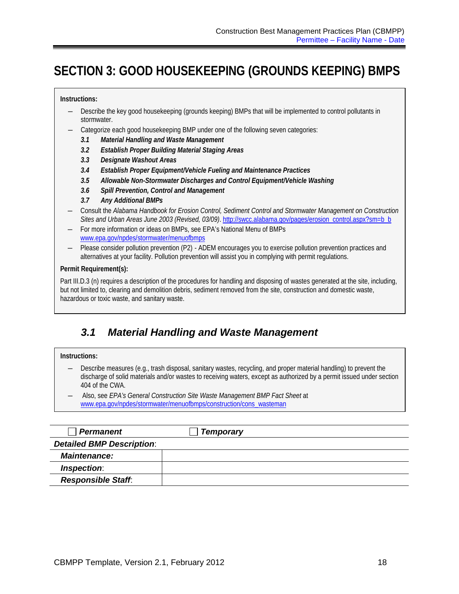# <span id="page-21-0"></span>**SECTION 3: GOOD HOUSEKEEPING (GROUNDS KEEPING) BMPS**

#### **Instructions:**

- ― Describe the key good housekeeping (grounds keeping) BMPs that will be implemented to control pollutants in stormwater.
- Categorize each good housekeeping BMP under one of the following seven categories:
	- *3.1 Material Handling and Waste Management*
	- *3.2 Establish Proper Building Material Staging Areas*
	- *3.3 Designate Washout Areas*
	- *3.4 Establish Proper Equipment/Vehicle Fueling and Maintenance Practices*
	- *3.5 Allowable Non-Stormwater Discharges and Control Equipment/Vehicle Washing*
	- *3.6 Spill Prevention, Control and Management*
	- *3.7 Any Additional BMPs*
- ― Consult the *Alabama Handbook for Erosion Control, Sediment Control and Stormwater Management on Construction Sites and Urban Areas June 2003 (Revised, 03/09)*[. http://swcc.alabama.gov/pages/erosion\\_control.aspx?sm=b\\_b](http://swcc.alabama.gov/pages/erosion_control.aspx?sm=b_b)
- ― For more information or ideas on BMPs, see EPA's National Menu of BMPs [www.epa.gov/npdes/stormwater/menuofbmps](http://www.epa.gov/npdes/stormwater/menuofbmps)
- Please consider pollution prevention (P2) ADEM encourages you to exercise pollution prevention practices and alternatives at your facility. Pollution prevention will assist you in complying with permit regulations.

### **Permit Requirement(s):**

Part III.D.3 (n) requires a description of the procedures for handling and disposing of wastes generated at the site, including, but not limited to, clearing and demolition debris, sediment removed from the site, construction and domestic waste, hazardous or toxic waste, and sanitary waste.

### <span id="page-21-1"></span>*3.1 Material Handling and Waste Management*

#### **Instructions:**

- ― Describe measures (e.g., trash disposal, sanitary wastes, recycling, and proper material handling) to prevent the discharge of solid materials and/or wastes to receiving waters, except as authorized by a permit issued under section 404 of the CWA.
- ― Also, see *EPA's General Construction Site Waste Management BMP Fact Sheet* at [www.epa.gov/npdes/stormwater/menuofbmps/construction/cons\\_wasteman](http://www.epa.gov/npdes/stormwater/menuofbmps/construction/cons_wasteman)

| <b>Permanent</b>                 | <b>Temporary</b> |
|----------------------------------|------------------|
| <b>Detailed BMP Description:</b> |                  |
| <b>Maintenance:</b>              |                  |
| Inspection:                      |                  |
| <b>Responsible Staff:</b>        |                  |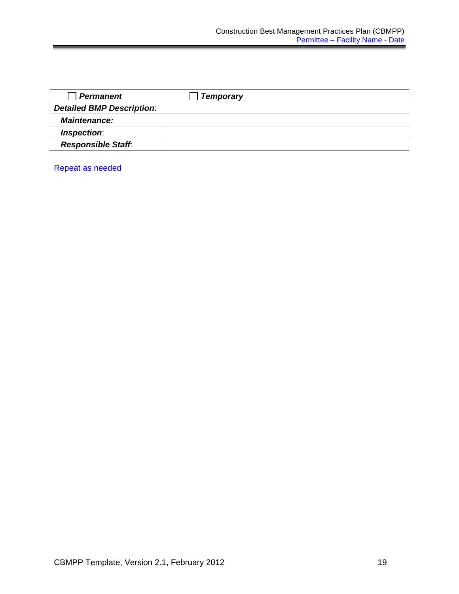| <b>Permanent</b>                 | <b>Temporary</b> |
|----------------------------------|------------------|
| <b>Detailed BMP Description:</b> |                  |
| <b>Maintenance:</b>              |                  |
| Inspection:                      |                  |
| <b>Responsible Staff.</b>        |                  |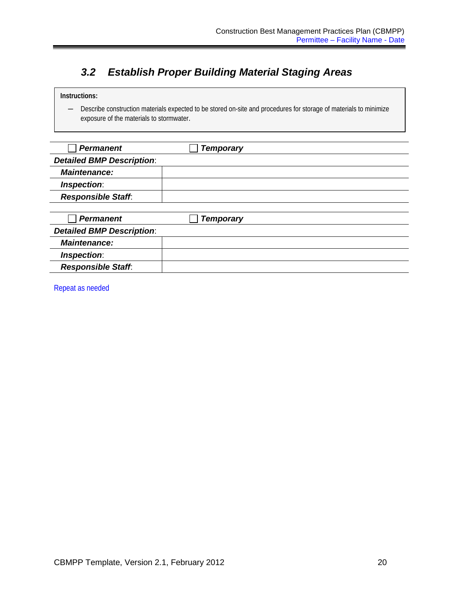## <span id="page-23-0"></span>*3.2 Establish Proper Building Material Staging Areas*

### **Instructions:**

― Describe construction materials expected to be stored on-site and procedures for storage of materials to minimize exposure of the materials to stormwater.

| <b>Permanent</b>                 | <b>Temporary</b> |  |
|----------------------------------|------------------|--|
| <b>Detailed BMP Description:</b> |                  |  |
| <b>Maintenance:</b>              |                  |  |
| Inspection:                      |                  |  |
| <b>Responsible Staff:</b>        |                  |  |
|                                  |                  |  |
| <b>Permanent</b>                 | <b>Temporary</b> |  |
| <b>Detailed BMP Description:</b> |                  |  |
| <b>Maintenance:</b>              |                  |  |
| Inspection:                      |                  |  |
| <b>Responsible Staff:</b>        |                  |  |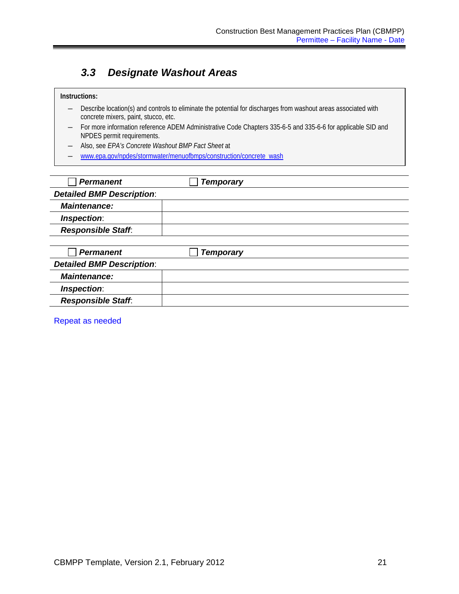### <span id="page-24-0"></span>*3.3 Designate Washout Areas*

#### **Instructions:**

- ― Describe location(s) and controls to eliminate the potential for discharges from washout areas associated with concrete mixers, paint, stucco, etc.
- ― For more information reference ADEM Administrative Code Chapters 335-6-5 and 335-6-6 for applicable SID and NPDES permit requirements.
- ― Also, see *EPA's Concrete Washout BMP Fact Sheet* at
- ― [www.epa.gov/npdes/stormwater/menuofbmps/construction/concrete\\_wash](http://www.epa.gov/npdes/stormwater/menuofbmps/construction/concrete_wash)

| <b>Permanent</b>                 | <b>Temporary</b> |  |
|----------------------------------|------------------|--|
| <b>Detailed BMP Description:</b> |                  |  |
| <b>Maintenance:</b>              |                  |  |
| Inspection:                      |                  |  |
| <b>Responsible Staff.</b>        |                  |  |
|                                  |                  |  |
| <b>Permanent</b>                 | <b>Temporary</b> |  |
| <b>Detailed BMP Description:</b> |                  |  |
| <b>Maintenance:</b>              |                  |  |
| Inspection:                      |                  |  |
| <b>Responsible Staff:</b>        |                  |  |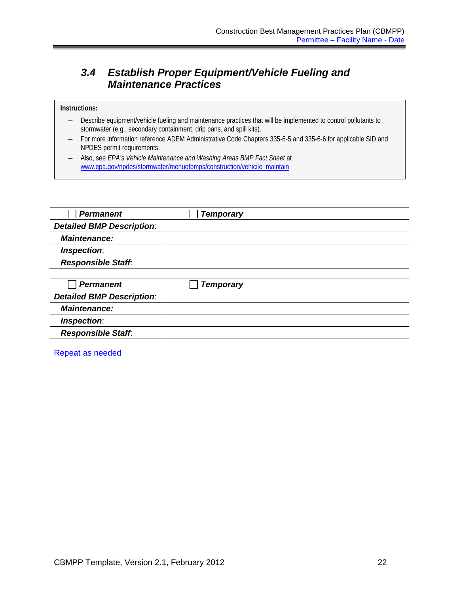### <span id="page-25-0"></span>*3.4 Establish Proper Equipment/Vehicle Fueling and Maintenance Practices*

### **Instructions:**

- ― Describe equipment/vehicle fueling and maintenance practices that will be implemented to control pollutants to stormwater (e.g., secondary containment, drip pans, and spill kits).
- ― For more information reference ADEM Administrative Code Chapters 335-6-5 and 335-6-6 for applicable SID and NPDES permit requirements.
- ― Also, see *EPA's Vehicle Maintenance and Washing Areas BMP Fact Sheet* a[t](http://cfpub1.epa.gov/npdes/stormwater/menuofbmps/index.cfm?action=browse&Rbutton=detail&bmp=63&minmeasure=4icile_maintain)  [www.epa.gov/npdes/stormwater/menuofbmps/construction/vehicile\\_maintain](http://cfpub1.epa.gov/npdes/stormwater/menuofbmps/index.cfm?action=browse&Rbutton=detail&bmp=63&minmeasure=4icile_maintain)

| <b>Permanent</b>                 | <b>Temporary</b> |  |
|----------------------------------|------------------|--|
| <b>Detailed BMP Description:</b> |                  |  |
| <b>Maintenance:</b>              |                  |  |
| Inspection:                      |                  |  |
| <b>Responsible Staff:</b>        |                  |  |
|                                  |                  |  |
| <b>Permanent</b>                 | <b>Temporary</b> |  |
| <b>Detailed BMP Description:</b> |                  |  |
| <b>Maintenance:</b>              |                  |  |
| Inspection:                      |                  |  |
| <b>Responsible Staff.</b>        |                  |  |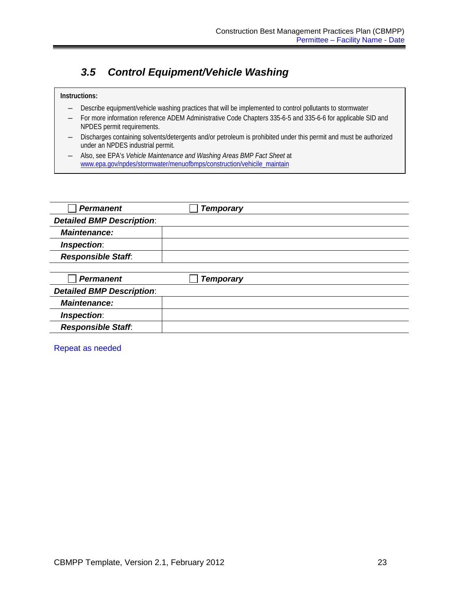### <span id="page-26-0"></span>*3.5 Control Equipment/Vehicle Washing*

### **Instructions:**

- ― Describe equipment/vehicle washing practices that will be implemented to control pollutants to stormwater
- For more information reference ADEM Administrative Code Chapters 335-6-5 and 335-6-6 for applicable SID and NPDES permit requirements.
- ― Discharges containing solvents/detergents and/or petroleum is prohibited under this permit and must be authorized under an NPDES industrial permit.
- ― Also, see EPA's *Vehicle Maintenance and Washing Areas BMP Fact Sheet* at [www.epa.gov/npdes/stormwater/menuofbmps/construction/vehicile\\_maintain](http://www.epa.gov/npdes/stormwater/menuofbmps/construction/vehicile_maintain)

| <b>Permanent</b>                 | <b>Temporary</b> |  |
|----------------------------------|------------------|--|
| <b>Detailed BMP Description:</b> |                  |  |
| <b>Maintenance:</b>              |                  |  |
| Inspection:                      |                  |  |
| <b>Responsible Staff:</b>        |                  |  |
|                                  |                  |  |
| <b>Permanent</b>                 | <b>Temporary</b> |  |
| <b>Detailed BMP Description:</b> |                  |  |
| <b>Maintenance:</b>              |                  |  |
| Inspection:                      |                  |  |
| <b>Responsible Staff.</b>        |                  |  |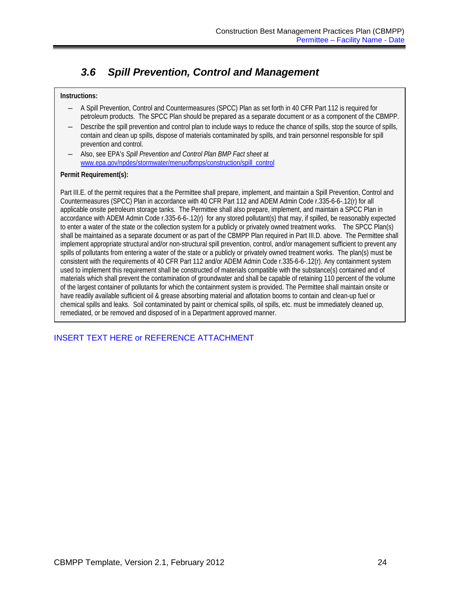## <span id="page-27-0"></span>*3.6 Spill Prevention, Control and Management*

### **Instructions:**

- ― A Spill Prevention, Control and Countermeasures (SPCC) Plan as set forth in 40 CFR Part 112 is required for petroleum products. The SPCC Plan should be prepared as a separate document or as a component of the CBMPP.
- Describe the spill prevention and control plan to include ways to reduce the chance of spills, stop the source of spills, contain and clean up spills, dispose of materials contaminated by spills, and train personnel responsible for spill prevention and control.
- ― Also, see EPA's *Spill Prevention and Control Plan BMP Fact sheet* at [www.epa.gov/npdes/stormwater/menuofbmps/construction/spill\\_control](http://www.epa.gov/npdes/stormwater/menuofbmps/construction/spill_control)

### **Permit Requirement(s):**

Part III.E. of the permit requires that a the Permittee shall prepare, implement, and maintain a Spill Prevention, Control and Countermeasures (SPCC) Plan in accordance with 40 CFR Part 112 and ADEM Admin Code r.335-6-6-.12(r) for all applicable onsite petroleum storage tanks. The Permittee shall also prepare, implement, and maintain a SPCC Plan in accordance with ADEM Admin Code r.335-6-6-.12(r) for any stored pollutant(s) that may, if spilled, be reasonably expected to enter a water of the state or the collection system for a publicly or privately owned treatment works. The SPCC Plan(s) shall be maintained as a separate document or as part of the CBMPP Plan required in Part III.D. above. The Permittee shall implement appropriate structural and/or non-structural spill prevention, control, and/or management sufficient to prevent any spills of pollutants from entering a water of the state or a publicly or privately owned treatment works. The plan(s) must be consistent with the requirements of 40 CFR Part 112 and/or ADEM Admin Code r.335-6-6-.12(r). Any containment system used to implement this requirement shall be constructed of materials compatible with the substance(s) contained and of materials which shall prevent the contamination of groundwater and shall be capable of retaining 110 percent of the volume of the largest container of pollutants for which the containment system is provided. The Permittee shall maintain onsite or have readily available sufficient oil & grease absorbing material and aflotation booms to contain and clean-up fuel or chemical spills and leaks. Soil contaminated by paint or chemical spills, oil spills, etc. must be immediately cleaned up, remediated, or be removed and disposed of in a Department approved manner.

### INSERT TEXT HERE or REFERENCE ATTACHMENT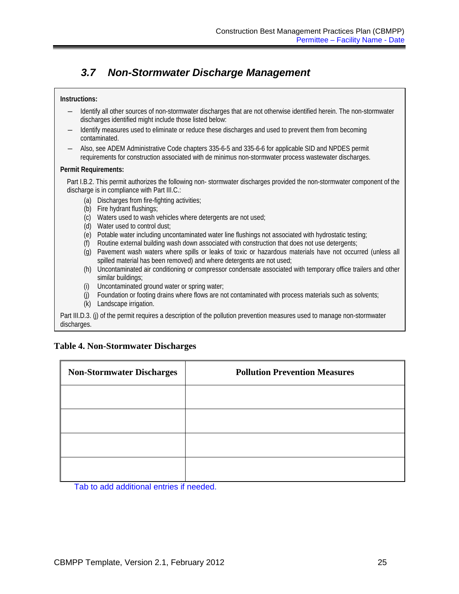### <span id="page-28-0"></span>*3.7 Non-Stormwater Discharge Management*

### **Instructions:**

- ― Identify all other sources of non-stormwater discharges that are not otherwise identified herein. The non-stormwater discharges identified might include those listed below:
- ― Identify measures used to eliminate or reduce these discharges and used to prevent them from becoming contaminated.
- ― Also, see ADEM Administrative Code chapters 335-6-5 and 335-6-6 for applicable SID and NPDES permit requirements for construction associated with de minimus non-stormwater process wastewater discharges.

### **Permit Requirements:**

Part I.B.2. This permit authorizes the following non- stormwater discharges provided the non-stormwater component of the discharge is in compliance with Part III.C.:

- (a) Discharges from fire-fighting activities;
- (b) Fire hydrant flushings;
- (c) Waters used to wash vehicles where detergents are not used;
- (d) Water used to control dust;
- (e) Potable water including uncontaminated water line flushings not associated with hydrostatic testing;
- (f) Routine external building wash down associated with construction that does not use detergents;
- (g) Pavement wash waters where spills or leaks of toxic or hazardous materials have not occurred (unless all spilled material has been removed) and where detergents are not used;
- (h) Uncontaminated air conditioning or compressor condensate associated with temporary office trailers and other similar buildings:
- (i) Uncontaminated ground water or spring water;
- (j) Foundation or footing drains where flows are not contaminated with process materials such as solvents;
- (k) Landscape irrigation.

Part III.D.3. (j) of the permit requires a description of the pollution prevention measures used to manage non-stormwater discharges.

### **Table 4. Non-Stormwater Discharges**

| <b>Non-Stormwater Discharges</b> | <b>Pollution Prevention Measures</b> |
|----------------------------------|--------------------------------------|
|                                  |                                      |
|                                  |                                      |
|                                  |                                      |
|                                  |                                      |

Tab to add additional entries if needed.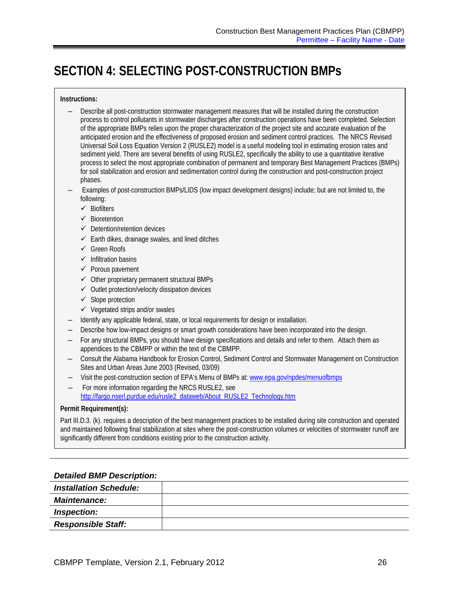# <span id="page-29-0"></span>**SECTION 4: SELECTING POST-CONSTRUCTION BMPs**

### **Instructions:**

- ― Describe all post-construction stormwater management measures that will be installed during the construction process to control pollutants in stormwater discharges after construction operations have been completed. Selection of the appropriate BMPs relies upon the proper characterization of the project site and accurate evaluation of the anticipated erosion and the effectiveness of proposed erosion and sediment control practices. The NRCS Revised Universal Soil Loss Equation Version 2 (RUSLE2) model is a useful modeling tool in estimating erosion rates and sediment yield. There are several benefits of using RUSLE2, specifically the ability to use a quantitative iterative process to select the most appropriate combination of permanent and temporary Best Management Practices (BMPs) for soil stabilization and erosion and sedimentation control during the construction and post-construction project phases.
- ― Examples of post-construction BMPs/LIDS (low impact development designs) include; but are not limited to, the following:
	- $\checkmark$  Biofilters
	- $\checkmark$  Bioretention
	- $\checkmark$  Detention/retention devices
	- $\checkmark$  Earth dikes, drainage swales, and lined ditches
	- Green Roofs
	- $\checkmark$  Infiltration basins
	- $\checkmark$  Porous pavement
	- $\checkmark$  Other proprietary permanent structural BMPs
	- $\checkmark$  Outlet protection/velocity dissipation devices
	- $\checkmark$  Slope protection
	- $\checkmark$  Vegetated strips and/or swales
- ― Identify any applicable federal, state, or local requirements for design or installation.
- Describe how low-impact designs or smart growth considerations have been incorporated into the design.
- ― For any structural BMPs, you should have design specifications and details and refer to them. Attach them as appendices to the CBMPP or within the text of the CBMPP.
- ― Consult the Alabama Handbook for Erosion Control, Sediment Control and Stormwater Management on Construction Sites and Urban Areas June 2003 (Revised, 03/09)
- ― Visit the post-construction section of EPA's Menu of BMPs at: [www.epa.gov/npdes/menuofbmps](http://www.epa.gov/npdes/menuofbmps)
- For more information regarding the NRCS RUSLE2, see [http://fargo.nserl.purdue.edu/rusle2\\_dataweb/About\\_RUSLE2\\_Technology.htm](http://fargo.nserl.purdue.edu/rusle2_dataweb/About_RUSLE2_Technology.htm)

#### **Permit Requirement(s):**

Part III.D.3. (k). requires a description of the best management practices to be installed during site construction and operated and maintained following final stabilization at sites where the post-construction volumes or velocities of stormwater runoff are significantly different from conditions existing prior to the construction activity.

### *Detailed BMP Description:*

| <b>Installation Schedule:</b> |  |
|-------------------------------|--|
| <b>Maintenance:</b>           |  |
| Inspection:                   |  |
| <b>Responsible Staff:</b>     |  |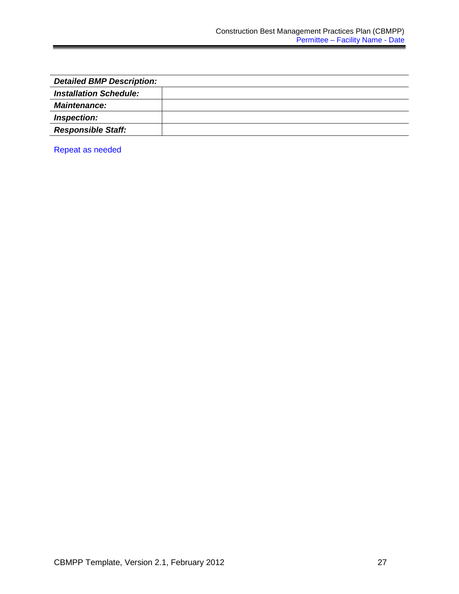| <b>Detailed BMP Description:</b> |  |
|----------------------------------|--|
| <b>Installation Schedule:</b>    |  |
| <b>Maintenance:</b>              |  |
| Inspection:                      |  |
| <b>Responsible Staff:</b>        |  |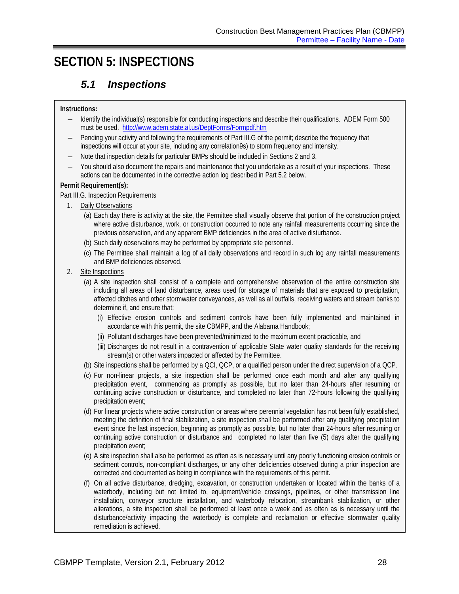# <span id="page-31-1"></span><span id="page-31-0"></span>**SECTION 5: INSPECTIONS**

### *5.1 Inspections*

### **Instructions:**

- ― Identify the individual(s) responsible for conducting inspections and describe their qualifications. ADEM Form 500 must be used.<http://www.adem.state.al.us/DeptForms/Formpdf.htm>
- Pending your activity and following the requirements of Part III.G of the permit; describe the frequency that inspections will occur at your site, including any correlation9s) to storm frequency and intensity.
- ― Note that inspection details for particular BMPs should be included in Sections 2 and 3.
- ― You should also document the repairs and maintenance that you undertake as a result of your inspections. These actions can be documented in the corrective action log described in Part 5.2 below.

### **Permit Requirement(s):**

- Part III.G. Inspection Requirements
	- 1. Daily Observations
		- (a) Each day there is activity at the site, the Permittee shall visually observe that portion of the construction project where active disturbance, work, or construction occurred to note any rainfall measurements occurring since the previous observation, and any apparent BMP deficiencies in the area of active disturbance.
		- (b) Such daily observations may be performed by appropriate site personnel.
		- (c) The Permittee shall maintain a log of all daily observations and record in such log any rainfall measurements and BMP deficiencies observed.
	- 2. Site Inspections
		- (a) A site inspection shall consist of a complete and comprehensive observation of the entire construction site including all areas of land disturbance, areas used for storage of materials that are exposed to precipitation, affected ditches and other stormwater conveyances, as well as all outfalls, receiving waters and stream banks to determine if, and ensure that:
			- (i) Effective erosion controls and sediment controls have been fully implemented and maintained in accordance with this permit, the site CBMPP, and the Alabama Handbook;
			- (ii) Pollutant discharges have been prevented/minimized to the maximum extent practicable, and
			- (iii) Discharges do not result in a contravention of applicable State water quality standards for the receiving stream(s) or other waters impacted or affected by the Permittee.
		- (b) Site inspections shall be performed by a QCI, QCP, or a qualified person under the direct supervision of a QCP.
		- (c) For non-linear projects, a site inspection shall be performed once each month and after any qualifying precipitation event, commencing as promptly as possible, but no later than 24-hours after resuming or continuing active construction or disturbance, and completed no later than 72-hours following the qualifying precipitation event;
		- (d) For linear projects where active construction or areas where perennial vegetation has not been fully established, meeting the definition of final stabilization, a site inspection shall be performed after any qualifying precipitation event since the last inspection, beginning as promptly as possible, but no later than 24-hours after resuming or continuing active construction or disturbance and completed no later than five (5) days after the qualifying precipitation event;
		- (e) A site inspection shall also be performed as often as is necessary until any poorly functioning erosion controls or sediment controls, non-compliant discharges, or any other deficiencies observed during a prior inspection are corrected and documented as being in compliance with the requirements of this permit.
		- (f) On all active disturbance, dredging, excavation, or construction undertaken or located within the banks of a waterbody, including but not limited to, equipment/vehicle crossings, pipelines, or other transmission line installation, conveyor structure installation, and waterbody relocation, streambank stabilization, or other alterations, a site inspection shall be performed at least once a week and as often as is necessary until the disturbance/activity impacting the waterbody is complete and reclamation or effective stormwater quality remediation is achieved.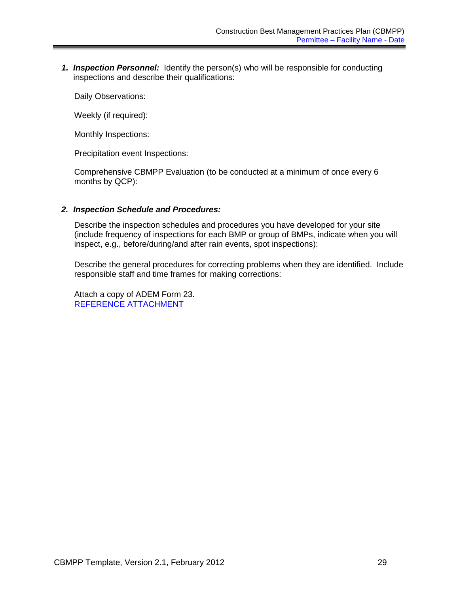*1. Inspection Personnel:* Identify the person(s) who will be responsible for conducting inspections and describe their qualifications:

Daily Observations:

Weekly (if required):

Monthly Inspections:

Precipitation event Inspections:

Comprehensive CBMPP Evaluation (to be conducted at a minimum of once every 6 months by QCP):

### *2. Inspection Schedule and Procedures:*

Describe the inspection schedules and procedures you have developed for your site (include frequency of inspections for each BMP or group of BMPs, indicate when you will inspect, e.g., before/during/and after rain events, spot inspections):

Describe the general procedures for correcting problems when they are identified. Include responsible staff and time frames for making corrections:

Attach a copy of ADEM Form 23. REFERENCE ATTACHMENT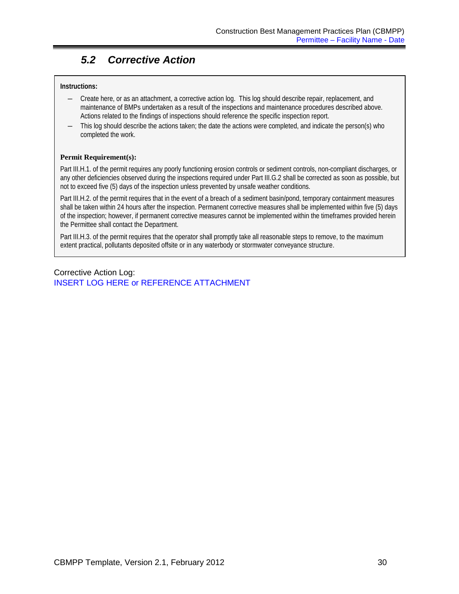## <span id="page-33-0"></span>*5.2 Corrective Action*

### **Instructions:**

- ― Create here, or as an attachment, a corrective action log. This log should describe repair, replacement, and maintenance of BMPs undertaken as a result of the inspections and maintenance procedures described above. Actions related to the findings of inspections should reference the specific inspection report.
- This log should describe the actions taken; the date the actions were completed, and indicate the person(s) who completed the work.

### **Permit Requirement(s):**

Part III.H.1. of the permit requires any poorly functioning erosion controls or sediment controls, non-compliant discharges, or any other deficiencies observed during the inspections required under Part III.G.2 shall be corrected as soon as possible, but not to exceed five (5) days of the inspection unless prevented by unsafe weather conditions.

Part III.H.2. of the permit requires that in the event of a breach of a sediment basin/pond, temporary containment measures shall be taken within 24 hours after the inspection. Permanent corrective measures shall be implemented within five (5) days of the inspection; however, if permanent corrective measures cannot be implemented within the timeframes provided herein the Permittee shall contact the Department.

Part III.H.3. of the permit requires that the operator shall promptly take all reasonable steps to remove, to the maximum extent practical, pollutants deposited offsite or in any waterbody or stormwater conveyance structure.

Corrective Action Log: INSERT LOG HERE or REFERENCE ATTACHMENT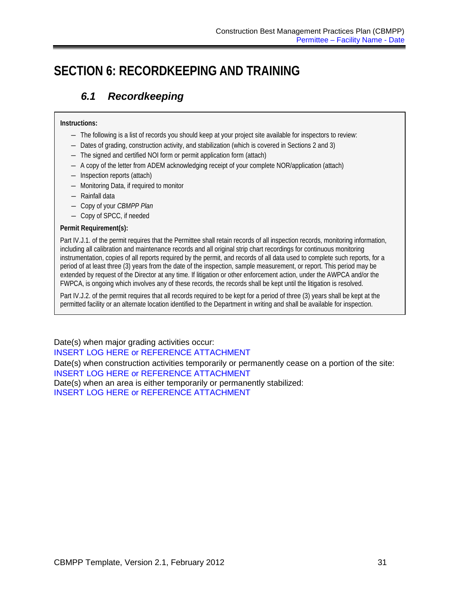# <span id="page-34-1"></span><span id="page-34-0"></span>**SECTION 6: RECORDKEEPING AND TRAINING**

## *6.1 Recordkeeping*

### **Instructions:**

- ― The following is a list of records you should keep at your project site available for inspectors to review:
- ― Dates of grading, construction activity, and stabilization (which is covered in Sections 2 and 3)
- ― The signed and certified NOI form or permit application form (attach)
- ― A copy of the letter from ADEM acknowledging receipt of your complete NOR/application (attach)
- ― Inspection reports (attach)
- ― Monitoring Data, if required to monitor
- ― Rainfall data
- ― Copy of your *CBMPP Plan*
- ― Copy of SPCC, if needed

### **Permit Requirement(s):**

Part IV.J.1. of the permit requires that the Permittee shall retain records of all inspection records, monitoring information, including all calibration and maintenance records and all original strip chart recordings for continuous monitoring instrumentation, copies of all reports required by the permit, and records of all data used to complete such reports, for a period of at least three (3) years from the date of the inspection, sample measurement, or report. This period may be extended by request of the Director at any time. If litigation or other enforcement action, under the AWPCA and/or the FWPCA, is ongoing which involves any of these records, the records shall be kept until the litigation is resolved.

Part IV.J.2. of the permit requires that all records required to be kept for a period of three (3) years shall be kept at the permitted facility or an alternate location identified to the Department in writing and shall be available for inspection.

Date(s) when major grading activities occur: INSERT LOG HERE or REFERENCE ATTACHMENT Date(s) when construction activities temporarily or permanently cease on a portion of the site: INSERT LOG HERE or REFERENCE ATTACHMENT Date(s) when an area is either temporarily or permanently stabilized: INSERT LOG HERE or REFERENCE ATTACHMENT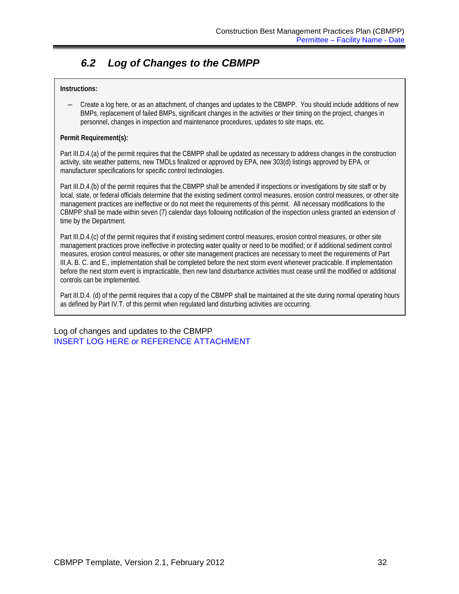## <span id="page-35-0"></span>*6.2 Log of Changes to the CBMPP*

### **Instructions:**

― Create a log here, or as an attachment, of changes and updates to the CBMPP. You should include additions of new BMPs, replacement of failed BMPs, significant changes in the activities or their timing on the project, changes in personnel, changes in inspection and maintenance procedures, updates to site maps, etc.

### **Permit Requirement(s):**

Part III.D.4.(a) of the permit requires that the CBMPP shall be updated as necessary to address changes in the construction activity, site weather patterns, new TMDLs finalized or approved by EPA, new 303(d) listings approved by EPA, or manufacturer specifications for specific control technologies.

Part III.D.4.(b) of the permit requires that the CBMPP shall be amended if inspections or investigations by site staff or by local, state, or federal officials determine that the existing sediment control measures, erosion control measures, or other site management practices are ineffective or do not meet the requirements of this permit. All necessary modifications to the CBMPP shall be made within seven (7) calendar days following notification of the inspection unless granted an extension of time by the Department.

Part III.D.4.(c) of the permit requires that if existing sediment control measures, erosion control measures, or other site management practices prove ineffective in protecting water quality or need to be modified; or if additional sediment control measures, erosion control measures, or other site management practices are necessary to meet the requirements of Part III.A. B. C. and E., implementation shall be completed before the next storm event whenever practicable. If implementation before the next storm event is impracticable, then new land disturbance activities must cease until the modified or additional controls can be implemented.

Part III.D.4. (d) of the permit requires that a copy of the CBMPP shall be maintained at the site during normal operating hours as defined by Part IV.T. of this permit when regulated land disturbing activities are occurring.

Log of changes and updates to the CBMPP INSERT LOG HERE or REFERENCE ATTACHMENT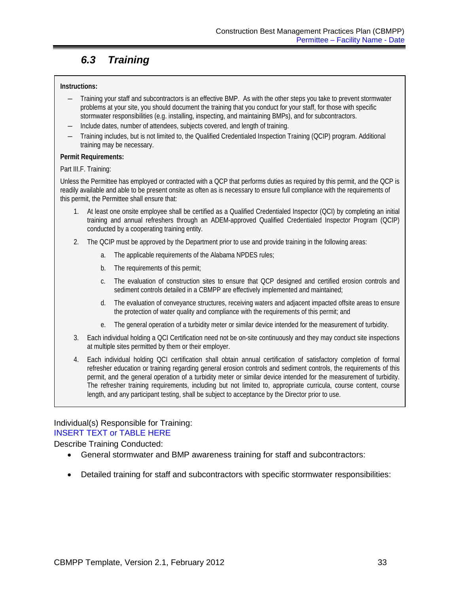## <span id="page-36-0"></span>*6.3 Training*

### **Instructions:**

- ― Training your staff and subcontractors is an effective BMP. As with the other steps you take to prevent stormwater problems at your site, you should document the training that you conduct for your staff, for those with specific stormwater responsibilities (e.g. installing, inspecting, and maintaining BMPs), and for subcontractors.
- ― Include dates, number of attendees, subjects covered, and length of training.
- ― Training includes, but is not limited to, the Qualified Credentialed Inspection Training (QCIP) program. Additional training may be necessary.

### **Permit Requirements:**

Part III.F. Training:

Unless the Permittee has employed or contracted with a QCP that performs duties as required by this permit, and the QCP is readily available and able to be present onsite as often as is necessary to ensure full compliance with the requirements of this permit, the Permittee shall ensure that:

- 1. At least one onsite employee shall be certified as a Qualified Credentialed Inspector (QCI) by completing an initial training and annual refreshers through an ADEM-approved Qualified Credentialed Inspector Program (QCIP) conducted by a cooperating training entity.
- 2. The QCIP must be approved by the Department prior to use and provide training in the following areas:
	- a. The applicable requirements of the Alabama NPDES rules;
	- b. The requirements of this permit;
	- c. The evaluation of construction sites to ensure that QCP designed and certified erosion controls and sediment controls detailed in a CBMPP are effectively implemented and maintained;
	- d. The evaluation of conveyance structures, receiving waters and adjacent impacted offsite areas to ensure the protection of water quality and compliance with the requirements of this permit; and
	- e. The general operation of a turbidity meter or similar device intended for the measurement of turbidity.
- 3. Each individual holding a QCI Certification need not be on-site continuously and they may conduct site inspections at multiple sites permitted by them or their employer.
- 4. Each individual holding QCI certification shall obtain annual certification of satisfactory completion of formal refresher education or training regarding general erosion controls and sediment controls, the requirements of this permit, and the general operation of a turbidity meter or similar device intended for the measurement of turbidity. The refresher training requirements, including but not limited to, appropriate curricula, course content, course length, and any participant testing, shall be subject to acceptance by the Director prior to use.

### Individual(s) Responsible for Training: INSERT TEXT or TABLE HERE

Describe Training Conducted:

- General stormwater and BMP awareness training for staff and subcontractors:
- Detailed training for staff and subcontractors with specific stormwater responsibilities: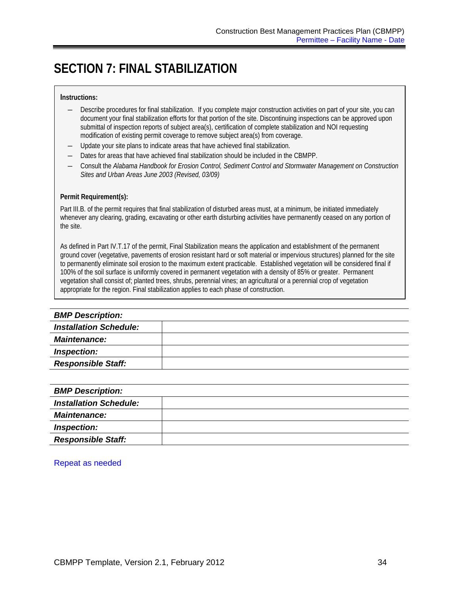# <span id="page-37-0"></span>**SECTION 7: FINAL STABILIZATION**

### **Instructions:**

- ― Describe procedures for final stabilization. If you complete major construction activities on part of your site, you can document your final stabilization efforts for that portion of the site. Discontinuing inspections can be approved upon submittal of inspection reports of subject area(s), certification of complete stabilization and NOI requesting modification of existing permit coverage to remove subject area(s) from coverage.
- Update your site plans to indicate areas that have achieved final stabilization.
- Dates for areas that have achieved final stabilization should be included in the CBMPP.
- ― Consult the *Alabama Handbook for Erosion Control, Sediment Control and Stormwater Management on Construction Sites and Urban Areas June 2003 (Revised, 03/09)*

#### **Permit Requirement(s):**

Part III.B. of the permit requires that final stabilization of disturbed areas must, at a minimum, be initiated immediately whenever any clearing, grading, excavating or other earth disturbing activities have permanently ceased on any portion of the site.

As defined in Part IV.T.17 of the permit, Final Stabilization means the application and establishment of the permanent ground cover (vegetative, pavements of erosion resistant hard or soft material or impervious structures) planned for the site to permanently eliminate soil erosion to the maximum extent practicable. Established vegetation will be considered final if 100% of the soil surface is uniformly covered in permanent vegetation with a density of 85% or greater. Permanent vegetation shall consist of; planted trees, shrubs, perennial vines; an agricultural or a perennial crop of vegetation appropriate for the region. Final stabilization applies to each phase of construction.

| <b>BMP Description:</b>       |  |
|-------------------------------|--|
| <b>Installation Schedule:</b> |  |
| <b>Maintenance:</b>           |  |
| Inspection:                   |  |
| <b>Responsible Staff:</b>     |  |
|                               |  |

| <b>BMP Description:</b>       |  |
|-------------------------------|--|
| <b>Installation Schedule:</b> |  |
| <b>Maintenance:</b>           |  |
| Inspection:                   |  |
| <b>Responsible Staff:</b>     |  |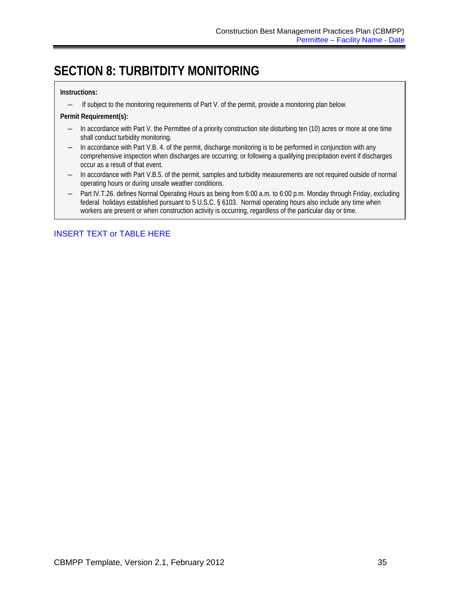# <span id="page-38-0"></span>**SECTION 8: TURBITDITY MONITORING**

### **Instructions:**

― If subject to the monitoring requirements of Part V. of the permit, provide a monitoring plan below.

### **Permit Requirement(s):**

- ― In accordance with Part V. the Permittee of a priority construction site disturbing ten (10) acres or more at one time shall conduct turbidity monitoring.
- ― In accordance with Part V.B. 4. of the permit, discharge monitoring is to be performed in conjunction with any comprehensive inspection when discharges are occurring; or following a qualifying precipitation event if discharges occur as a result of that event.
- ― In accordance with Part V.B.5. of the permit, samples and turbidity measurements are not required outside of normal operating hours or during unsafe weather conditions.
- Part IV.T.26. defines Normal Operating Hours as being from 6:00 a.m. to 6:00 p.m. Monday through Friday, excluding federal holidays established pursuant to 5 U.S.C. § 6103. Normal operating hours also include any time when workers are present or when construction activity is occurring, regardless of the particular day or time.

### INSERT TEXT or TABLE HERE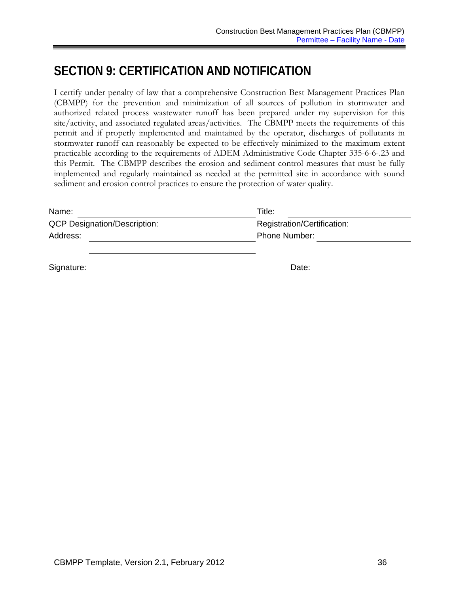# <span id="page-39-0"></span>**SECTION 9: CERTIFICATION AND NOTIFICATION**

I certify under penalty of law that a comprehensive Construction Best Management Practices Plan (CBMPP) for the prevention and minimization of all sources of pollution in stormwater and authorized related process wastewater runoff has been prepared under my supervision for this site/activity, and associated regulated areas/activities. The CBMPP meets the requirements of this permit and if properly implemented and maintained by the operator, discharges of pollutants in stormwater runoff can reasonably be expected to be effectively minimized to the maximum extent practicable according to the requirements of ADEM Administrative Code Chapter 335-6-6-.23 and this Permit. The CBMPP describes the erosion and sediment control measures that must be fully implemented and regularly maintained as needed at the permitted site in accordance with sound sediment and erosion control practices to ensure the protection of water quality.

| Name:                               | Title:                      |  |
|-------------------------------------|-----------------------------|--|
| <b>QCP Designation/Description:</b> | Registration/Certification: |  |
| Address:                            | Phone Number:               |  |
|                                     |                             |  |
| Signature:                          | Date:                       |  |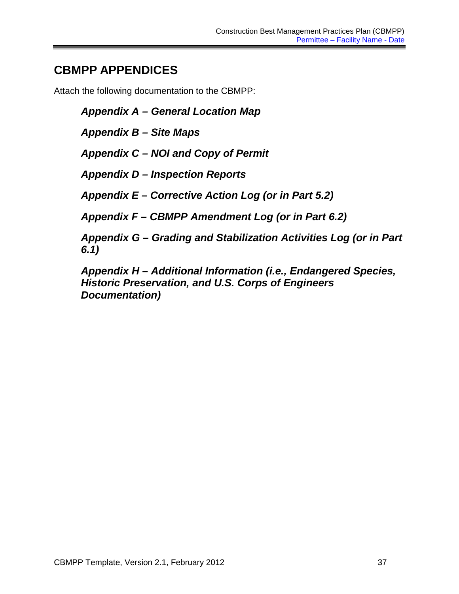# <span id="page-40-0"></span>**CBMPP APPENDICES**

Attach the following documentation to the CBMPP:

*Appendix A – General Location Map*

*Appendix B – Site Maps*

*Appendix C – NOI and Copy of Permit*

*Appendix D – Inspection Reports*

*Appendix E – Corrective Action Log (or in Part 5.2)*

*Appendix F – CBMPP Amendment Log (or in Part 6.2)*

*Appendix G – Grading and Stabilization Activities Log (or in Part 6.1)*

*Appendix H – Additional Information (i.e., Endangered Species, Historic Preservation, and U.S. Corps of Engineers Documentation)*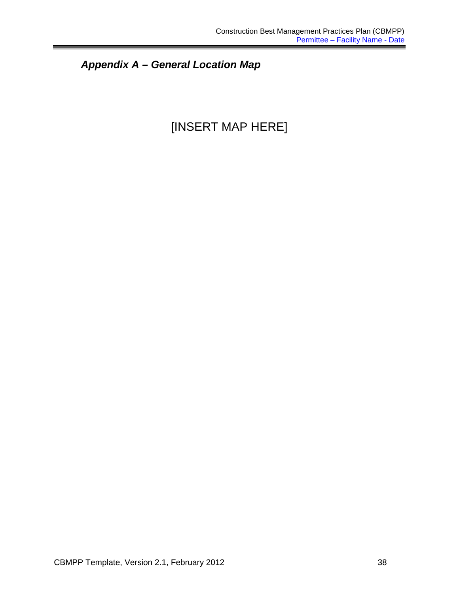*Appendix A – General Location Map*

# [INSERT MAP HERE]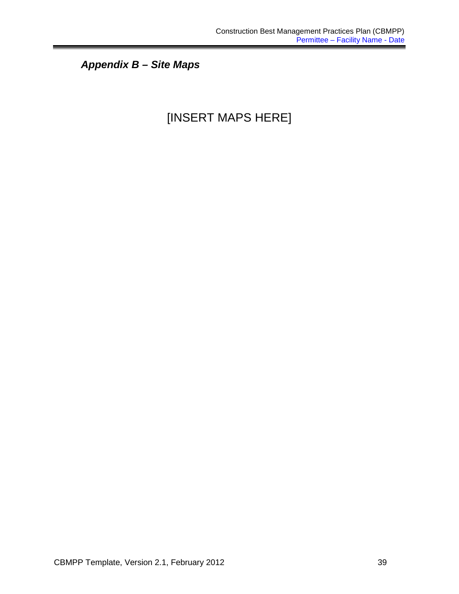*Appendix B – Site Maps*

# [INSERT MAPS HERE]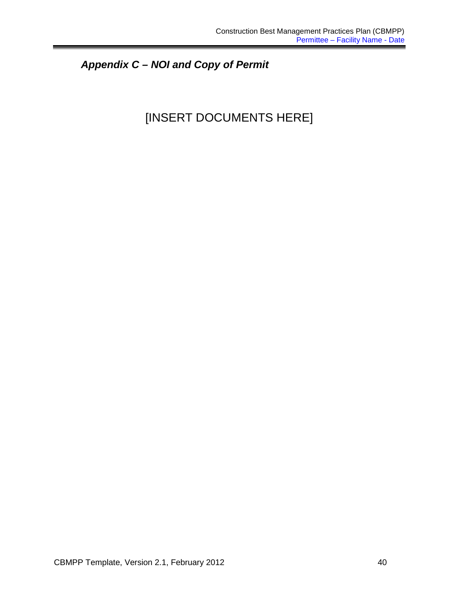# *Appendix C – NOI and Copy of Permit*

# [INSERT DOCUMENTS HERE]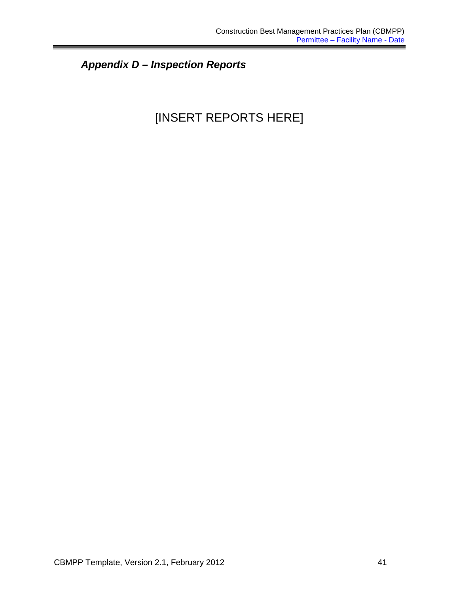# *Appendix D – Inspection Reports*

# [INSERT REPORTS HERE]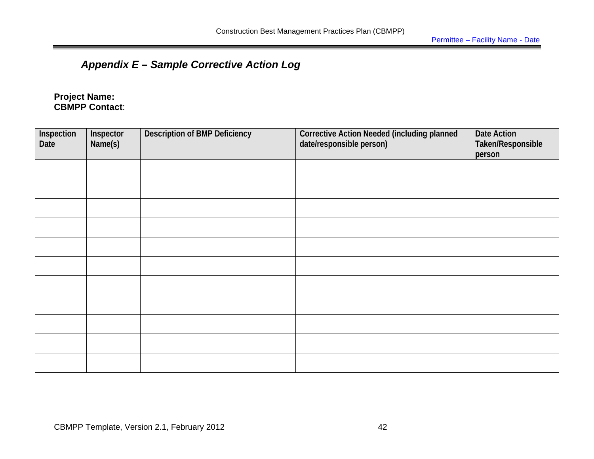# *Appendix E – Sample Corrective Action Log*

**Project Name: CBMPP Contact**:

| Inspection<br>Date | Inspector<br>Name(s) | <b>Description of BMP Deficiency</b> | <b>Corrective Action Needed (including planned</b><br>date/responsible person) | Date Action<br>Taken/Responsible<br>person |
|--------------------|----------------------|--------------------------------------|--------------------------------------------------------------------------------|--------------------------------------------|
|                    |                      |                                      |                                                                                |                                            |
|                    |                      |                                      |                                                                                |                                            |
|                    |                      |                                      |                                                                                |                                            |
|                    |                      |                                      |                                                                                |                                            |
|                    |                      |                                      |                                                                                |                                            |
|                    |                      |                                      |                                                                                |                                            |
|                    |                      |                                      |                                                                                |                                            |
|                    |                      |                                      |                                                                                |                                            |
|                    |                      |                                      |                                                                                |                                            |
|                    |                      |                                      |                                                                                |                                            |
|                    |                      |                                      |                                                                                |                                            |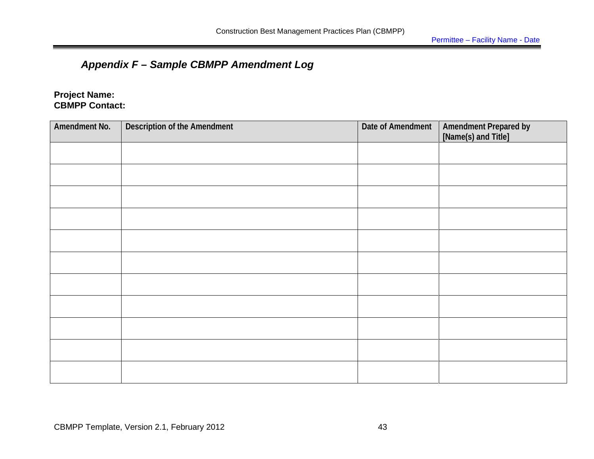## *Appendix F – Sample CBMPP Amendment Log*

### **Project Name: CBMPP Contact:**

| Amendment No. | <b>Description of the Amendment</b> | Date of Amendment | Amendment Prepared by<br>[Name(s) and Title] |
|---------------|-------------------------------------|-------------------|----------------------------------------------|
|               |                                     |                   |                                              |
|               |                                     |                   |                                              |
|               |                                     |                   |                                              |
|               |                                     |                   |                                              |
|               |                                     |                   |                                              |
|               |                                     |                   |                                              |
|               |                                     |                   |                                              |
|               |                                     |                   |                                              |
|               |                                     |                   |                                              |
|               |                                     |                   |                                              |
|               |                                     |                   |                                              |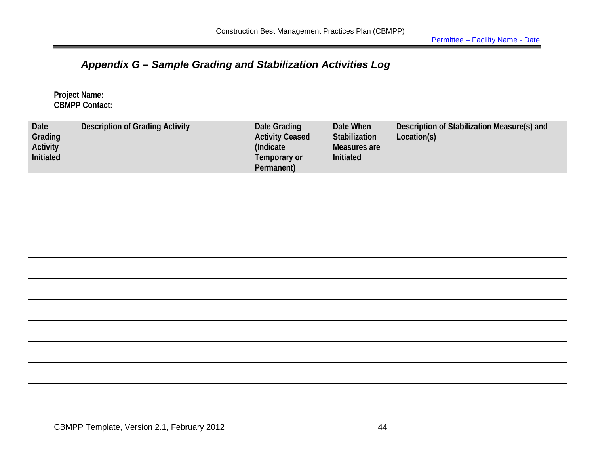## *Appendix G – Sample Grading and Stabilization Activities Log*

**Project Name: CBMPP Contact:** 

| Date<br>Grading<br>Activity<br>Initiated | <b>Description of Grading Activity</b> | <b>Date Grading</b><br><b>Activity Ceased</b><br>(Indicate<br>Temporary or<br>Permanent) | Date When<br>Stabilization<br>Measures are<br>Initiated | Description of Stabilization Measure(s) and<br>Location(s) |
|------------------------------------------|----------------------------------------|------------------------------------------------------------------------------------------|---------------------------------------------------------|------------------------------------------------------------|
|                                          |                                        |                                                                                          |                                                         |                                                            |
|                                          |                                        |                                                                                          |                                                         |                                                            |
|                                          |                                        |                                                                                          |                                                         |                                                            |
|                                          |                                        |                                                                                          |                                                         |                                                            |
|                                          |                                        |                                                                                          |                                                         |                                                            |
|                                          |                                        |                                                                                          |                                                         |                                                            |
|                                          |                                        |                                                                                          |                                                         |                                                            |
|                                          |                                        |                                                                                          |                                                         |                                                            |
|                                          |                                        |                                                                                          |                                                         |                                                            |
|                                          |                                        |                                                                                          |                                                         |                                                            |